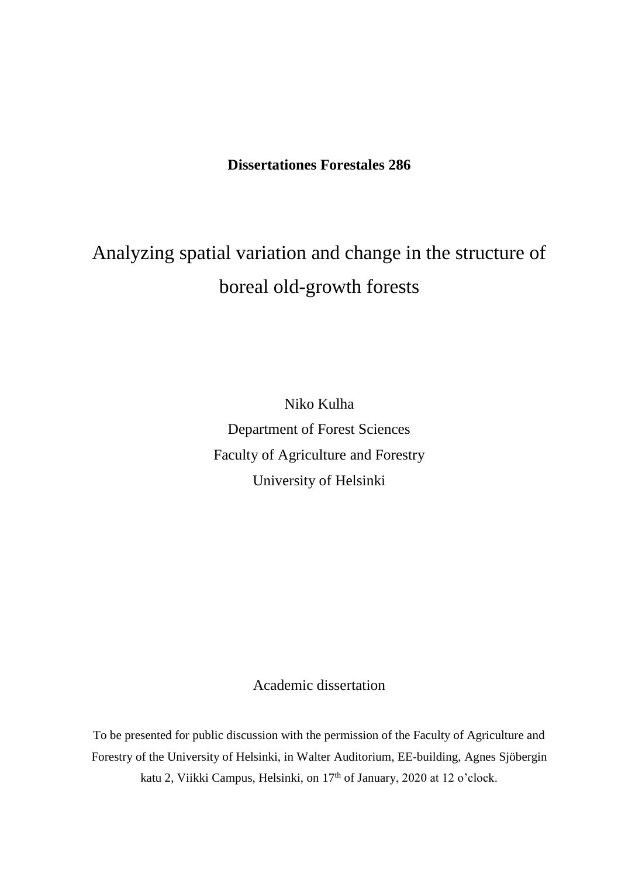# **Dissertationes Forestales 286**

# Analyzing spatial variation and change in the structure of boreal old-growth forests

Niko Kulha Department of Forest Sciences Faculty of Agriculture and Forestry University of Helsinki

# Academic dissertation

To be presented for public discussion with the permission of the Faculty of Agriculture and Forestry of the University of Helsinki, in Walter Auditorium, EE-building, Agnes Sjöbergin katu 2, Viikki Campus, Helsinki, on 17<sup>th</sup> of January, 2020 at 12 o'clock.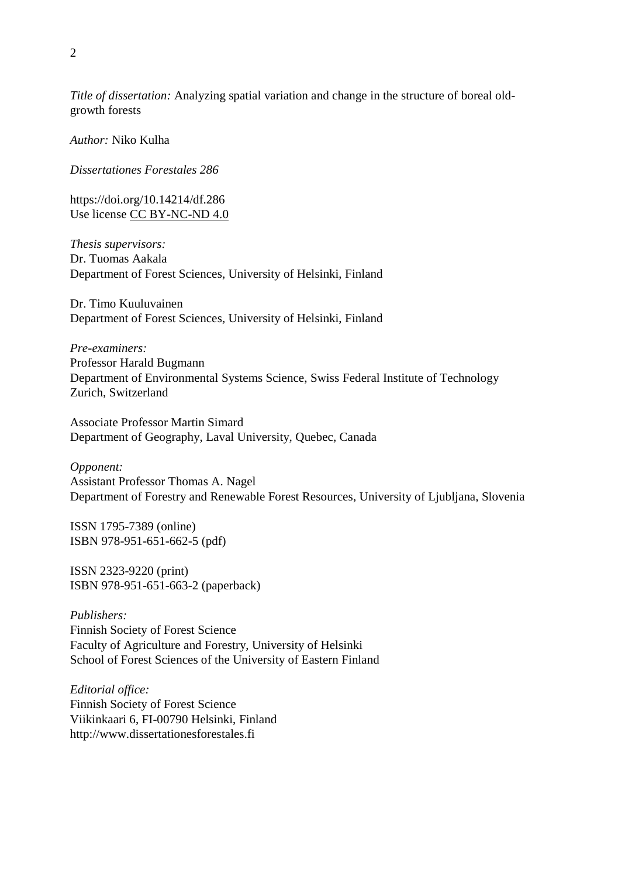*Title of dissertation:* Analyzing spatial variation and change in the structure of boreal oldgrowth forests

*Author:* Niko Kulha

*Dissertationes Forestales 286*

<https://doi.org/10.14214/df.286> Use license [CC BY-NC-ND 4.0](http://creativecommons.org/licenses/by-nc-nd/4.0/)

*Thesis supervisors:* Dr. Tuomas Aakala Department of Forest Sciences, University of Helsinki, Finland

Dr. Timo Kuuluvainen Department of Forest Sciences, University of Helsinki, Finland

*Pre-examiners:* Professor Harald Bugmann Department of Environmental Systems Science, Swiss Federal Institute of Technology Zurich, Switzerland

Associate Professor Martin Simard Department of Geography, Laval University, Quebec, Canada

*Opponent:* Assistant Professor Thomas A. Nagel Department of Forestry and Renewable Forest Resources, University of Ljubljana, Slovenia

ISSN 1795-7389 (online) ISBN 978-951-651-662-5 (pdf)

ISSN 2323-9220 (print) ISBN 978-951-651-663-2 (paperback)

*Publishers:* Finnish Society of Forest Science Faculty of Agriculture and Forestry, University of Helsinki School of Forest Sciences of the University of Eastern Finland

*Editorial office:* Finnish Society of Forest Science Viikinkaari 6, FI-00790 Helsinki, Finland http://www.dissertationesforestales.fi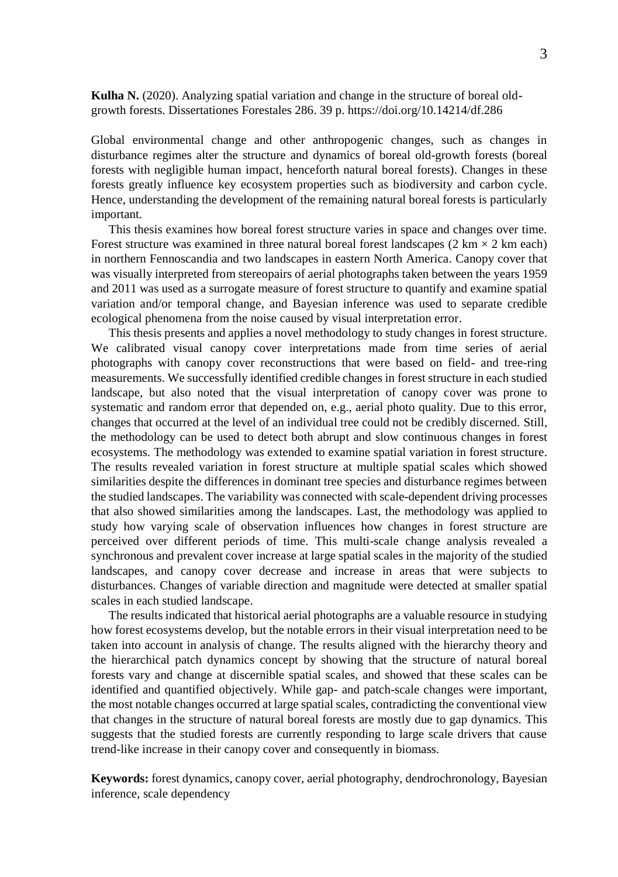**Kulha N.** (2020). Analyzing spatial variation and change in the structure of boreal oldgrowth forests. Dissertationes Forestales 286. 39 p.<https://doi.org/10.14214/df.286>

Global environmental change and other anthropogenic changes, such as changes in disturbance regimes alter the structure and dynamics of boreal old-growth forests (boreal forests with negligible human impact, henceforth natural boreal forests). Changes in these forests greatly influence key ecosystem properties such as biodiversity and carbon cycle. Hence, understanding the development of the remaining natural boreal forests is particularly important.

This thesis examines how boreal forest structure varies in space and changes over time. Forest structure was examined in three natural boreal forest landscapes  $(2 \text{ km} \times 2 \text{ km} \text{ each})$ in northern Fennoscandia and two landscapes in eastern North America. Canopy cover that was visually interpreted from stereopairs of aerial photographs taken between the years 1959 and 2011 was used as a surrogate measure of forest structure to quantify and examine spatial variation and/or temporal change, and Bayesian inference was used to separate credible ecological phenomena from the noise caused by visual interpretation error.

This thesis presents and applies a novel methodology to study changes in forest structure. We calibrated visual canopy cover interpretations made from time series of aerial photographs with canopy cover reconstructions that were based on field- and tree-ring measurements. We successfully identified credible changes in forest structure in each studied landscape, but also noted that the visual interpretation of canopy cover was prone to systematic and random error that depended on, e.g., aerial photo quality. Due to this error, changes that occurred at the level of an individual tree could not be credibly discerned. Still, the methodology can be used to detect both abrupt and slow continuous changes in forest ecosystems. The methodology was extended to examine spatial variation in forest structure. The results revealed variation in forest structure at multiple spatial scales which showed similarities despite the differences in dominant tree species and disturbance regimes between the studied landscapes. The variability was connected with scale-dependent driving processes that also showed similarities among the landscapes. Last, the methodology was applied to study how varying scale of observation influences how changes in forest structure are perceived over different periods of time. This multi-scale change analysis revealed a synchronous and prevalent cover increase at large spatial scales in the majority of the studied landscapes, and canopy cover decrease and increase in areas that were subjects to disturbances. Changes of variable direction and magnitude were detected at smaller spatial scales in each studied landscape.

The results indicated that historical aerial photographs are a valuable resource in studying how forest ecosystems develop, but the notable errors in their visual interpretation need to be taken into account in analysis of change. The results aligned with the hierarchy theory and the hierarchical patch dynamics concept by showing that the structure of natural boreal forests vary and change at discernible spatial scales, and showed that these scales can be identified and quantified objectively. While gap- and patch-scale changes were important, the most notable changes occurred at large spatial scales, contradicting the conventional view that changes in the structure of natural boreal forests are mostly due to gap dynamics. This suggests that the studied forests are currently responding to large scale drivers that cause trend-like increase in their canopy cover and consequently in biomass.

**Keywords:** forest dynamics, canopy cover, aerial photography, dendrochronology, Bayesian inference, scale dependency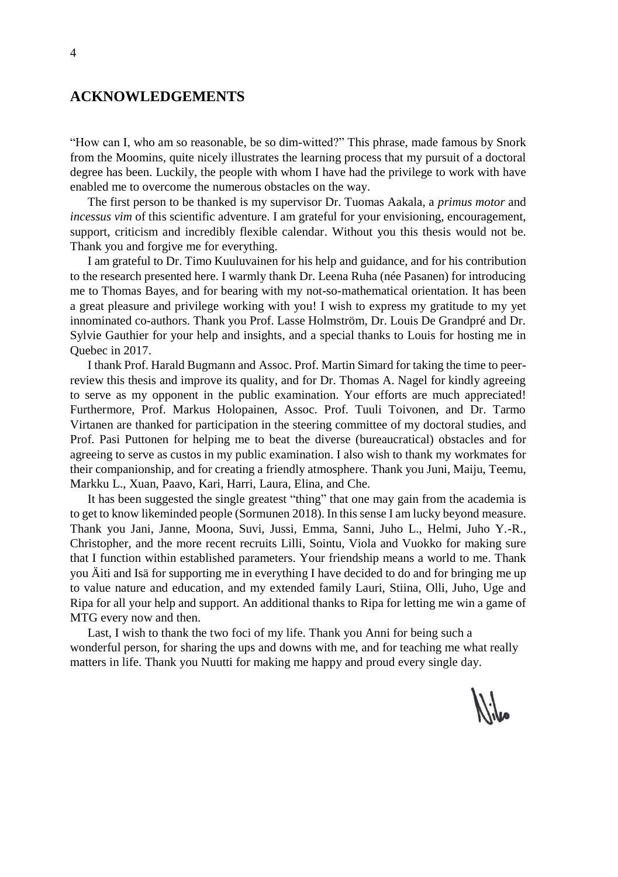### **ACKNOWLEDGEMENTS**

"How can I, who am so reasonable, be so dim-witted?" This phrase, made famous by Snork from the Moomins, quite nicely illustrates the learning process that my pursuit of a doctoral degree has been. Luckily, the people with whom I have had the privilege to work with have enabled me to overcome the numerous obstacles on the way.

The first person to be thanked is my supervisor Dr. Tuomas Aakala, a *primus motor* and *incessus vim* of this scientific adventure. I am grateful for your envisioning, encouragement, support, criticism and incredibly flexible calendar. Without you this thesis would not be. Thank you and forgive me for everything.

I am grateful to Dr. Timo Kuuluvainen for his help and guidance, and for his contribution to the research presented here. I warmly thank Dr. Leena Ruha (née Pasanen) for introducing me to Thomas Bayes, and for bearing with my not-so-mathematical orientation. It has been a great pleasure and privilege working with you! I wish to express my gratitude to my yet innominated co-authors. Thank you Prof. Lasse Holmström, Dr. Louis De Grandpré and Dr. Sylvie Gauthier for your help and insights, and a special thanks to Louis for hosting me in Quebec in 2017.

I thank Prof. Harald Bugmann and Assoc. Prof. Martin Simard for taking the time to peerreview this thesis and improve its quality, and for Dr. Thomas A. Nagel for kindly agreeing to serve as my opponent in the public examination. Your efforts are much appreciated! Furthermore, Prof. Markus Holopainen, Assoc. Prof. Tuuli Toivonen, and Dr. Tarmo Virtanen are thanked for participation in the steering committee of my doctoral studies, and Prof. Pasi Puttonen for helping me to beat the diverse (bureaucratical) obstacles and for agreeing to serve as custos in my public examination. I also wish to thank my workmates for their companionship, and for creating a friendly atmosphere. Thank you Juni, Maiju, Teemu, Markku L., Xuan, Paavo, Kari, Harri, Laura, Elina, and Che.

It has been suggested the single greatest "thing" that one may gain from the academia is to get to know likeminded people (Sormunen 2018). In this sense I am lucky beyond measure. Thank you Jani, Janne, Moona, Suvi, Jussi, Emma, Sanni, Juho L., Helmi, Juho Y.-R., Christopher, and the more recent recruits Lilli, Sointu, Viola and Vuokko for making sure that I function within established parameters. Your friendship means a world to me. Thank you Äiti and Isä for supporting me in everything I have decided to do and for bringing me up to value nature and education, and my extended family Lauri, Stiina, Olli, Juho, Uge and Ripa for all your help and support. An additional thanks to Ripa for letting me win a game of MTG every now and then.

Last, I wish to thank the two foci of my life. Thank you Anni for being such a wonderful person, for sharing the ups and downs with me, and for teaching me what really matters in life. Thank you Nuutti for making me happy and proud every single day.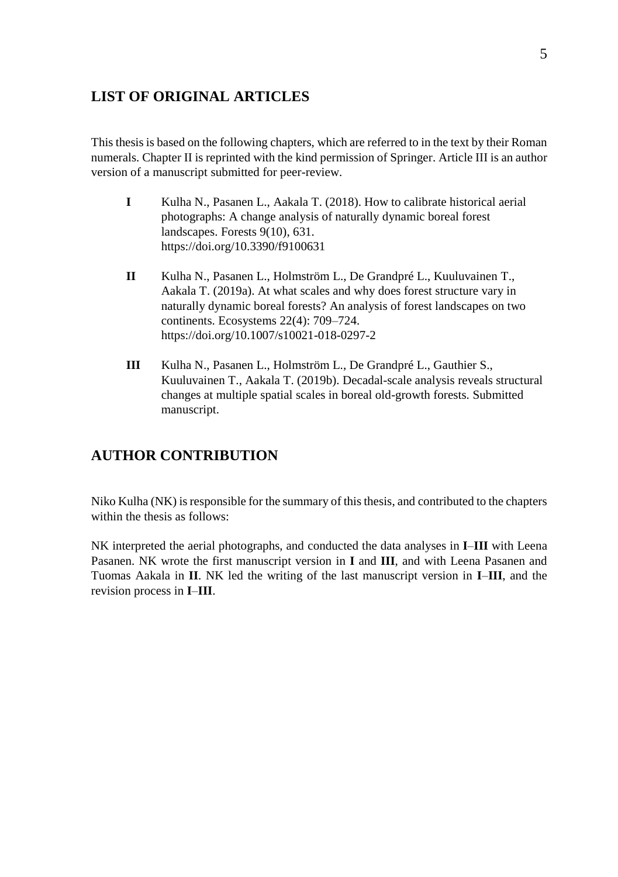# **LIST OF ORIGINAL ARTICLES**

This thesis is based on the following chapters, which are referred to in the text by their Roman numerals. Chapter II is reprinted with the kind permission of Springer. Article III is an author version of a manuscript submitted for peer-review.

- **I** Kulha N., Pasanen L., Aakala T. (2018). How to calibrate historical aerial photographs: A change analysis of naturally dynamic boreal forest landscapes. Forests 9(10), 631. https://doi.org/10.3390/f9100631
- **II** Kulha N., Pasanen L., Holmström L., De Grandpré L., Kuuluvainen T., Aakala T. (2019a). At what scales and why does forest structure vary in naturally dynamic boreal forests? An analysis of forest landscapes on two continents. Ecosystems 22(4): 709–724. https://doi.org/10.1007/s10021-018-0297-2
- **III** Kulha N., Pasanen L., Holmström L., De Grandpré L., Gauthier S., Kuuluvainen T., Aakala T. (2019b). Decadal-scale analysis reveals structural changes at multiple spatial scales in boreal old-growth forests. Submitted manuscript.

# **AUTHOR CONTRIBUTION**

Niko Kulha (NK) is responsible for the summary of this thesis, and contributed to the chapters within the thesis as follows:

NK interpreted the aerial photographs, and conducted the data analyses in **I**–**III** with Leena Pasanen. NK wrote the first manuscript version in **I** and **III**, and with Leena Pasanen and Tuomas Aakala in **II**. NK led the writing of the last manuscript version in **I**–**III**, and the revision process in **I**–**III**.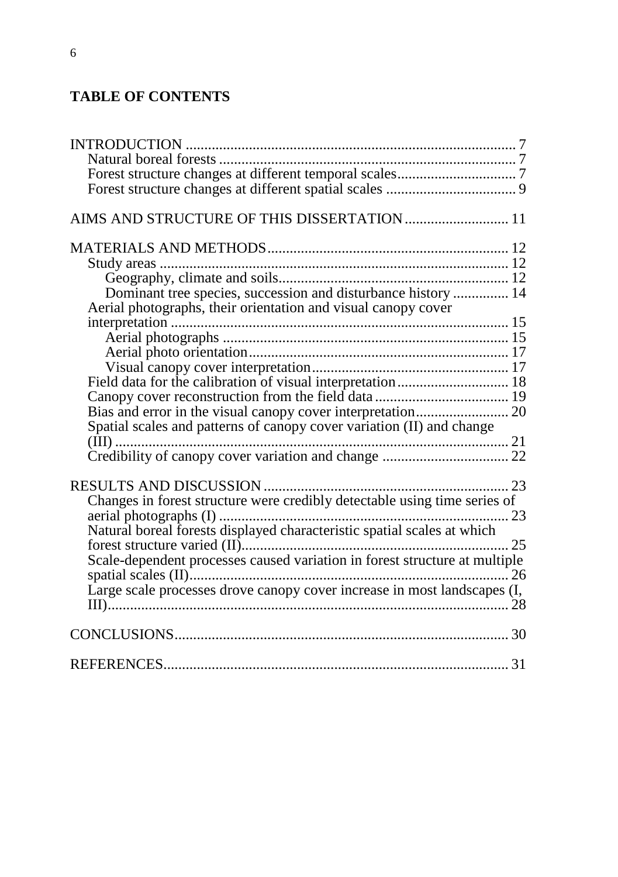# **TABLE OF CONTENTS**

| AIMS AND STRUCTURE OF THIS DISSERTATION  11                                |  |
|----------------------------------------------------------------------------|--|
|                                                                            |  |
|                                                                            |  |
|                                                                            |  |
| Dominant tree species, succession and disturbance history  14              |  |
| Aerial photographs, their orientation and visual canopy cover              |  |
|                                                                            |  |
|                                                                            |  |
|                                                                            |  |
|                                                                            |  |
| Field data for the calibration of visual interpretation 18                 |  |
|                                                                            |  |
|                                                                            |  |
| Spatial scales and patterns of canopy cover variation (II) and change      |  |
|                                                                            |  |
|                                                                            |  |
|                                                                            |  |
|                                                                            |  |
|                                                                            |  |
| Natural boreal forests displayed characteristic spatial scales at which    |  |
|                                                                            |  |
| Scale-dependent processes caused variation in forest structure at multiple |  |
|                                                                            |  |
| Large scale processes drove canopy cover increase in most landscapes (I,   |  |
|                                                                            |  |
|                                                                            |  |
|                                                                            |  |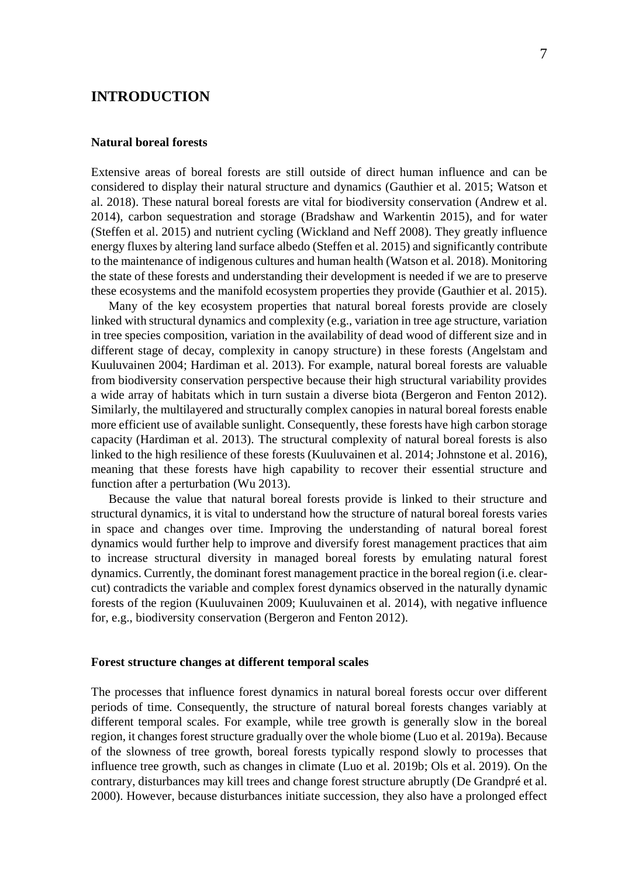## <span id="page-6-0"></span>**INTRODUCTION**

### <span id="page-6-1"></span>**Natural boreal forests**

Extensive areas of boreal forests are still outside of direct human influence and can be considered to display their natural structure and dynamics (Gauthier et al. 2015; Watson et al. 2018). These natural boreal forests are vital for biodiversity conservation (Andrew et al. 2014), carbon sequestration and storage (Bradshaw and Warkentin 2015), and for water (Steffen et al. 2015) and nutrient cycling (Wickland and Neff 2008). They greatly influence energy fluxes by altering land surface albedo (Steffen et al. 2015) and significantly contribute to the maintenance of indigenous cultures and human health (Watson et al. 2018). Monitoring the state of these forests and understanding their development is needed if we are to preserve these ecosystems and the manifold ecosystem properties they provide (Gauthier et al. 2015).

Many of the key ecosystem properties that natural boreal forests provide are closely linked with structural dynamics and complexity (e.g., variation in tree age structure, variation in tree species composition, variation in the availability of dead wood of different size and in different stage of decay, complexity in canopy structure) in these forests (Angelstam and Kuuluvainen 2004; Hardiman et al. 2013). For example, natural boreal forests are valuable from biodiversity conservation perspective because their high structural variability provides a wide array of habitats which in turn sustain a diverse biota (Bergeron and Fenton 2012). Similarly, the multilayered and structurally complex canopies in natural boreal forests enable more efficient use of available sunlight. Consequently, these forests have high carbon storage capacity (Hardiman et al. 2013). The structural complexity of natural boreal forests is also linked to the high resilience of these forests (Kuuluvainen et al. 2014; Johnstone et al. 2016), meaning that these forests have high capability to recover their essential structure and function after a perturbation (Wu 2013).

Because the value that natural boreal forests provide is linked to their structure and structural dynamics, it is vital to understand how the structure of natural boreal forests varies in space and changes over time. Improving the understanding of natural boreal forest dynamics would further help to improve and diversify forest management practices that aim to increase structural diversity in managed boreal forests by emulating natural forest dynamics. Currently, the dominant forest management practice in the boreal region (i.e. clearcut) contradicts the variable and complex forest dynamics observed in the naturally dynamic forests of the region (Kuuluvainen 2009; Kuuluvainen et al. 2014), with negative influence for, e.g., biodiversity conservation (Bergeron and Fenton 2012).

### <span id="page-6-2"></span>**Forest structure changes at different temporal scales**

The processes that influence forest dynamics in natural boreal forests occur over different periods of time. Consequently, the structure of natural boreal forests changes variably at different temporal scales. For example, while tree growth is generally slow in the boreal region, it changes forest structure gradually over the whole biome (Luo et al. 2019a). Because of the slowness of tree growth, boreal forests typically respond slowly to processes that influence tree growth, such as changes in climate (Luo et al. 2019b; Ols et al. 2019). On the contrary, disturbances may kill trees and change forest structure abruptly (De Grandpré et al. 2000). However, because disturbances initiate succession, they also have a prolonged effect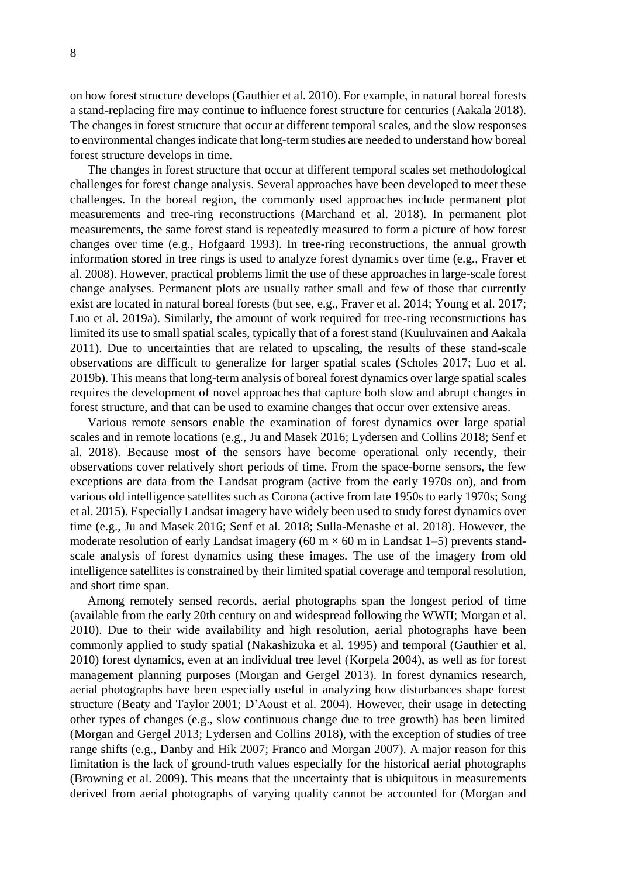on how forest structure develops (Gauthier et al. 2010). For example, in natural boreal forests a stand-replacing fire may continue to influence forest structure for centuries (Aakala 2018). The changes in forest structure that occur at different temporal scales, and the slow responses to environmental changes indicate that long-term studies are needed to understand how boreal forest structure develops in time.

The changes in forest structure that occur at different temporal scales set methodological challenges for forest change analysis. Several approaches have been developed to meet these challenges. In the boreal region, the commonly used approaches include permanent plot measurements and tree-ring reconstructions (Marchand et al. 2018). In permanent plot measurements, the same forest stand is repeatedly measured to form a picture of how forest changes over time (e.g., Hofgaard 1993). In tree-ring reconstructions, the annual growth information stored in tree rings is used to analyze forest dynamics over time (e.g., Fraver et al. 2008). However, practical problems limit the use of these approaches in large-scale forest change analyses. Permanent plots are usually rather small and few of those that currently exist are located in natural boreal forests (but see, e.g., Fraver et al. 2014; Young et al. 2017; Luo et al. 2019a). Similarly, the amount of work required for tree-ring reconstructions has limited its use to small spatial scales, typically that of a forest stand (Kuuluvainen and Aakala 2011). Due to uncertainties that are related to upscaling, the results of these stand-scale observations are difficult to generalize for larger spatial scales (Scholes 2017; Luo et al. 2019b). This means that long-term analysis of boreal forest dynamics over large spatial scales requires the development of novel approaches that capture both slow and abrupt changes in forest structure, and that can be used to examine changes that occur over extensive areas.

Various remote sensors enable the examination of forest dynamics over large spatial scales and in remote locations (e.g., Ju and Masek 2016; Lydersen and Collins 2018; Senf et al. 2018). Because most of the sensors have become operational only recently, their observations cover relatively short periods of time. From the space-borne sensors, the few exceptions are data from the Landsat program (active from the early 1970s on), and from various old intelligence satellites such as Corona (active from late 1950s to early 1970s; Song et al. 2015). Especially Landsat imagery have widely been used to study forest dynamics over time (e.g., Ju and Masek 2016; Senf et al. 2018; Sulla-Menashe et al. 2018). However, the moderate resolution of early Landsat imagery (60 m  $\times$  60 m in Landsat 1–5) prevents standscale analysis of forest dynamics using these images. The use of the imagery from old intelligence satellites is constrained by their limited spatial coverage and temporal resolution, and short time span.

Among remotely sensed records, aerial photographs span the longest period of time (available from the early 20th century on and widespread following the WWII; Morgan et al. 2010). Due to their wide availability and high resolution, aerial photographs have been commonly applied to study spatial (Nakashizuka et al. 1995) and temporal (Gauthier et al. 2010) forest dynamics, even at an individual tree level (Korpela 2004), as well as for forest management planning purposes (Morgan and Gergel 2013). In forest dynamics research, aerial photographs have been especially useful in analyzing how disturbances shape forest structure (Beaty and Taylor 2001; D'Aoust et al. 2004). However, their usage in detecting other types of changes (e.g., slow continuous change due to tree growth) has been limited (Morgan and Gergel 2013; Lydersen and Collins 2018), with the exception of studies of tree range shifts (e.g., Danby and Hik 2007; Franco and Morgan 2007). A major reason for this limitation is the lack of ground-truth values especially for the historical aerial photographs (Browning et al. 2009). This means that the uncertainty that is ubiquitous in measurements derived from aerial photographs of varying quality cannot be accounted for (Morgan and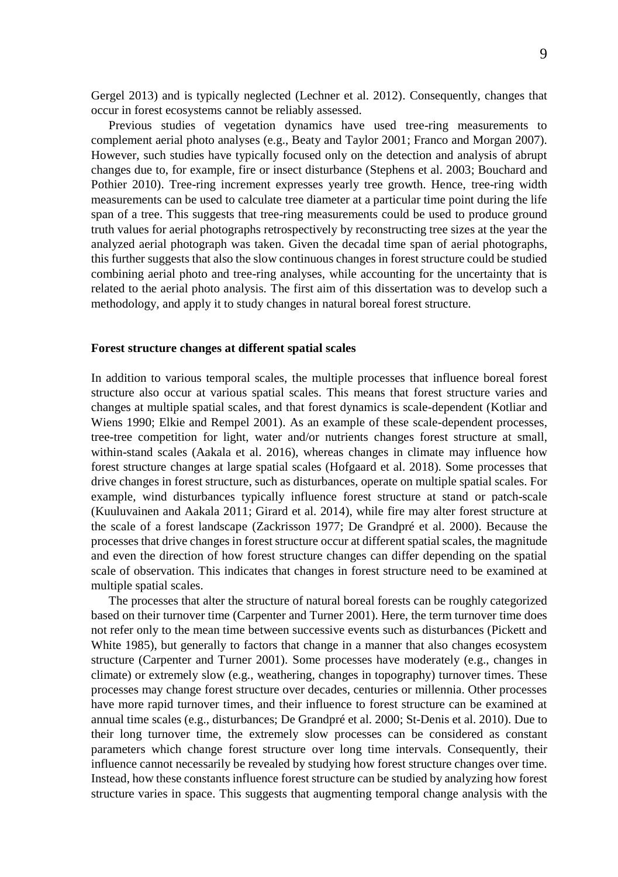Gergel 2013) and is typically neglected (Lechner et al. 2012). Consequently, changes that occur in forest ecosystems cannot be reliably assessed.

Previous studies of vegetation dynamics have used tree-ring measurements to complement aerial photo analyses (e.g., Beaty and Taylor 2001; Franco and Morgan 2007). However, such studies have typically focused only on the detection and analysis of abrupt changes due to, for example, fire or insect disturbance (Stephens et al. 2003; Bouchard and Pothier 2010). Tree-ring increment expresses yearly tree growth. Hence, tree-ring width measurements can be used to calculate tree diameter at a particular time point during the life span of a tree. This suggests that tree-ring measurements could be used to produce ground truth values for aerial photographs retrospectively by reconstructing tree sizes at the year the analyzed aerial photograph was taken. Given the decadal time span of aerial photographs, this further suggests that also the slow continuous changes in forest structure could be studied combining aerial photo and tree-ring analyses, while accounting for the uncertainty that is related to the aerial photo analysis. The first aim of this dissertation was to develop such a methodology, and apply it to study changes in natural boreal forest structure.

#### <span id="page-8-0"></span>**Forest structure changes at different spatial scales**

In addition to various temporal scales, the multiple processes that influence boreal forest structure also occur at various spatial scales. This means that forest structure varies and changes at multiple spatial scales, and that forest dynamics is scale-dependent (Kotliar and Wiens 1990; Elkie and Rempel 2001). As an example of these scale-dependent processes, tree-tree competition for light, water and/or nutrients changes forest structure at small, within-stand scales (Aakala et al. 2016), whereas changes in climate may influence how forest structure changes at large spatial scales (Hofgaard et al. 2018). Some processes that drive changes in forest structure, such as disturbances, operate on multiple spatial scales. For example, wind disturbances typically influence forest structure at stand or patch-scale (Kuuluvainen and Aakala 2011; Girard et al. 2014), while fire may alter forest structure at the scale of a forest landscape (Zackrisson 1977; De Grandpré et al. 2000). Because the processes that drive changes in forest structure occur at different spatial scales, the magnitude and even the direction of how forest structure changes can differ depending on the spatial scale of observation. This indicates that changes in forest structure need to be examined at multiple spatial scales.

The processes that alter the structure of natural boreal forests can be roughly categorized based on their turnover time (Carpenter and Turner 2001). Here, the term turnover time does not refer only to the mean time between successive events such as disturbances (Pickett and White 1985), but generally to factors that change in a manner that also changes ecosystem structure (Carpenter and Turner 2001). Some processes have moderately (e.g., changes in climate) or extremely slow (e.g., weathering, changes in topography) turnover times. These processes may change forest structure over decades, centuries or millennia. Other processes have more rapid turnover times, and their influence to forest structure can be examined at annual time scales (e.g., disturbances; De Grandpré et al. 2000; St-Denis et al. 2010). Due to their long turnover time, the extremely slow processes can be considered as constant parameters which change forest structure over long time intervals. Consequently, their influence cannot necessarily be revealed by studying how forest structure changes over time. Instead, how these constants influence forest structure can be studied by analyzing how forest structure varies in space. This suggests that augmenting temporal change analysis with the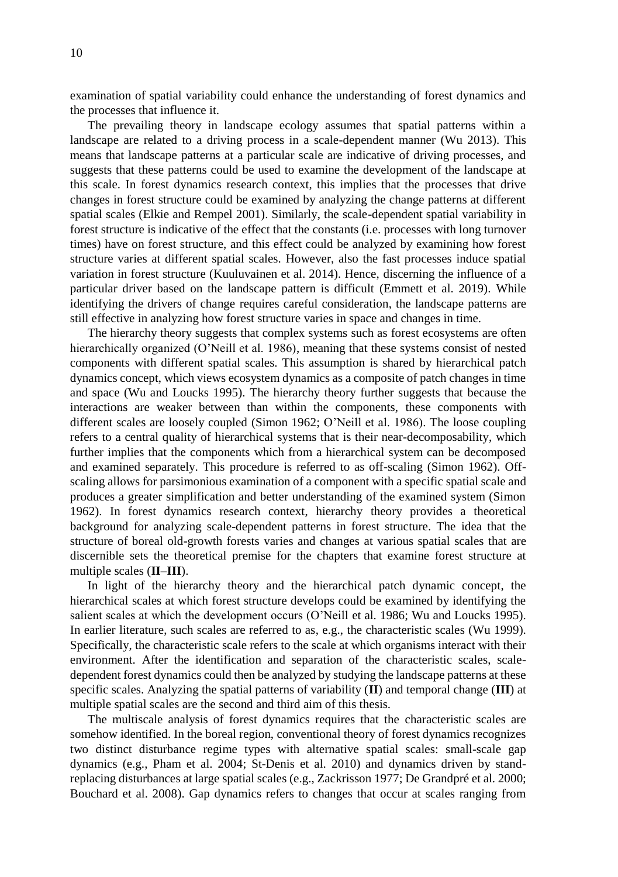examination of spatial variability could enhance the understanding of forest dynamics and the processes that influence it.

The prevailing theory in landscape ecology assumes that spatial patterns within a landscape are related to a driving process in a scale-dependent manner (Wu 2013). This means that landscape patterns at a particular scale are indicative of driving processes, and suggests that these patterns could be used to examine the development of the landscape at this scale. In forest dynamics research context, this implies that the processes that drive changes in forest structure could be examined by analyzing the change patterns at different spatial scales (Elkie and Rempel 2001). Similarly, the scale-dependent spatial variability in forest structure is indicative of the effect that the constants (i.e. processes with long turnover times) have on forest structure, and this effect could be analyzed by examining how forest structure varies at different spatial scales. However, also the fast processes induce spatial variation in forest structure (Kuuluvainen et al. 2014). Hence, discerning the influence of a particular driver based on the landscape pattern is difficult (Emmett et al. 2019). While identifying the drivers of change requires careful consideration, the landscape patterns are still effective in analyzing how forest structure varies in space and changes in time.

The hierarchy theory suggests that complex systems such as forest ecosystems are often hierarchically organized (O'Neill et al. 1986), meaning that these systems consist of nested components with different spatial scales. This assumption is shared by hierarchical patch dynamics concept, which views ecosystem dynamics as a composite of patch changes in time and space (Wu and Loucks 1995). The hierarchy theory further suggests that because the interactions are weaker between than within the components, these components with different scales are loosely coupled (Simon 1962; O'Neill et al. 1986). The loose coupling refers to a central quality of hierarchical systems that is their near-decomposability, which further implies that the components which from a hierarchical system can be decomposed and examined separately. This procedure is referred to as off-scaling (Simon 1962). Offscaling allows for parsimonious examination of a component with a specific spatial scale and produces a greater simplification and better understanding of the examined system (Simon 1962). In forest dynamics research context, hierarchy theory provides a theoretical background for analyzing scale-dependent patterns in forest structure. The idea that the structure of boreal old-growth forests varies and changes at various spatial scales that are discernible sets the theoretical premise for the chapters that examine forest structure at multiple scales (**II**–**III**).

In light of the hierarchy theory and the hierarchical patch dynamic concept, the hierarchical scales at which forest structure develops could be examined by identifying the salient scales at which the development occurs (O'Neill et al. 1986; Wu and Loucks 1995). In earlier literature, such scales are referred to as, e.g., the characteristic scales (Wu 1999). Specifically, the characteristic scale refers to the scale at which organisms interact with their environment. After the identification and separation of the characteristic scales, scaledependent forest dynamics could then be analyzed by studying the landscape patterns at these specific scales. Analyzing the spatial patterns of variability (**II**) and temporal change (**III**) at multiple spatial scales are the second and third aim of this thesis.

The multiscale analysis of forest dynamics requires that the characteristic scales are somehow identified. In the boreal region, conventional theory of forest dynamics recognizes two distinct disturbance regime types with alternative spatial scales: small-scale gap dynamics (e.g., Pham et al. 2004; St-Denis et al. 2010) and dynamics driven by standreplacing disturbances at large spatial scales (e.g., Zackrisson 1977; De Grandpré et al. 2000; Bouchard et al. 2008). Gap dynamics refers to changes that occur at scales ranging from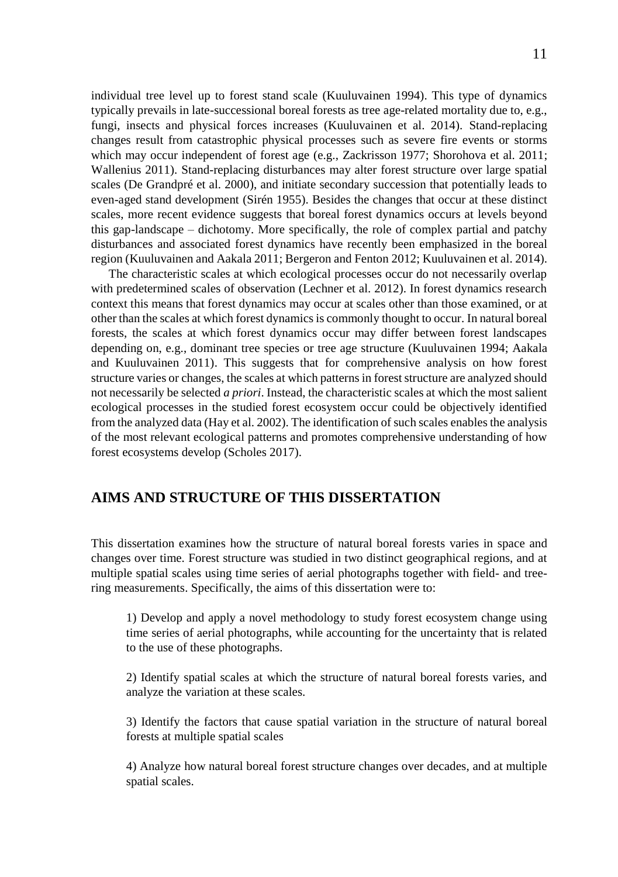individual tree level up to forest stand scale (Kuuluvainen 1994). This type of dynamics typically prevails in late-successional boreal forests as tree age-related mortality due to, e.g., fungi, insects and physical forces increases (Kuuluvainen et al. 2014). Stand-replacing changes result from catastrophic physical processes such as severe fire events or storms which may occur independent of forest age (e.g., Zackrisson 1977; Shorohova et al. 2011; Wallenius 2011). Stand-replacing disturbances may alter forest structure over large spatial scales (De Grandpré et al. 2000), and initiate secondary succession that potentially leads to even-aged stand development (Sirén 1955). Besides the changes that occur at these distinct scales, more recent evidence suggests that boreal forest dynamics occurs at levels beyond this gap-landscape – dichotomy. More specifically, the role of complex partial and patchy disturbances and associated forest dynamics have recently been emphasized in the boreal region (Kuuluvainen and Aakala 2011; Bergeron and Fenton 2012; Kuuluvainen et al. 2014).

The characteristic scales at which ecological processes occur do not necessarily overlap with predetermined scales of observation (Lechner et al. 2012). In forest dynamics research context this means that forest dynamics may occur at scales other than those examined, or at other than the scales at which forest dynamics is commonly thought to occur. In natural boreal forests, the scales at which forest dynamics occur may differ between forest landscapes depending on, e.g., dominant tree species or tree age structure (Kuuluvainen 1994; Aakala and Kuuluvainen 2011). This suggests that for comprehensive analysis on how forest structure varies or changes, the scales at which patterns in forest structure are analyzed should not necessarily be selected *a priori*. Instead, the characteristic scales at which the most salient ecological processes in the studied forest ecosystem occur could be objectively identified from the analyzed data (Hay et al. 2002). The identification of such scales enables the analysis of the most relevant ecological patterns and promotes comprehensive understanding of how forest ecosystems develop (Scholes 2017).

# <span id="page-10-0"></span>**AIMS AND STRUCTURE OF THIS DISSERTATION**

This dissertation examines how the structure of natural boreal forests varies in space and changes over time. Forest structure was studied in two distinct geographical regions, and at multiple spatial scales using time series of aerial photographs together with field- and treering measurements. Specifically, the aims of this dissertation were to:

1) Develop and apply a novel methodology to study forest ecosystem change using time series of aerial photographs, while accounting for the uncertainty that is related to the use of these photographs.

2) Identify spatial scales at which the structure of natural boreal forests varies, and analyze the variation at these scales.

3) Identify the factors that cause spatial variation in the structure of natural boreal forests at multiple spatial scales

4) Analyze how natural boreal forest structure changes over decades, and at multiple spatial scales.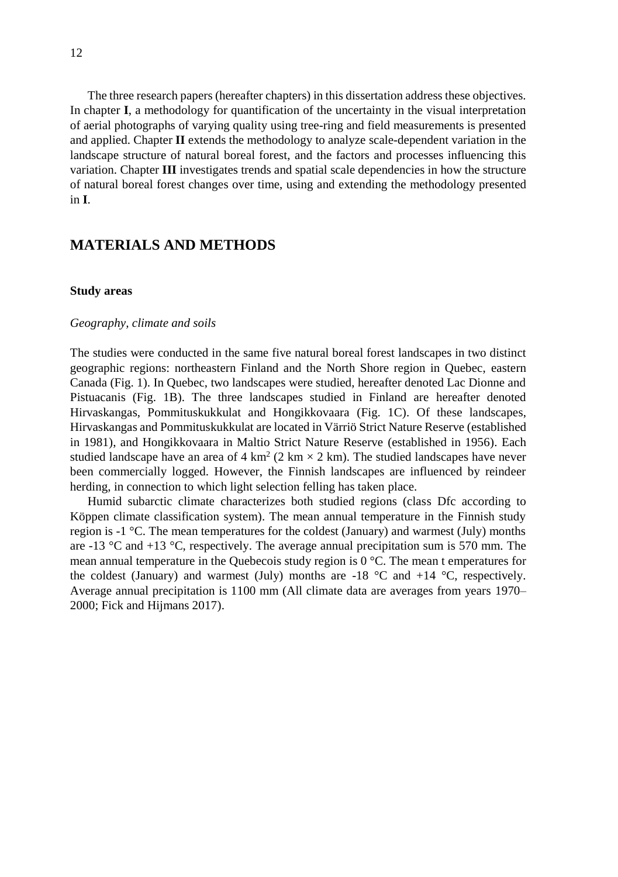The three research papers (hereafter chapters) in this dissertation address these objectives. In chapter **I**, a methodology for quantification of the uncertainty in the visual interpretation of aerial photographs of varying quality using tree-ring and field measurements is presented and applied. Chapter **II** extends the methodology to analyze scale-dependent variation in the landscape structure of natural boreal forest, and the factors and processes influencing this variation. Chapter **III** investigates trends and spatial scale dependencies in how the structure of natural boreal forest changes over time, using and extending the methodology presented in **I**.

### <span id="page-11-0"></span>**MATERIALS AND METHODS**

#### <span id="page-11-1"></span>**Study areas**

#### <span id="page-11-2"></span>*Geography, climate and soils*

The studies were conducted in the same five natural boreal forest landscapes in two distinct geographic regions: northeastern Finland and the North Shore region in Quebec, eastern Canada (Fig. 1). In Quebec, two landscapes were studied, hereafter denoted Lac Dionne and Pistuacanis (Fig. 1B). The three landscapes studied in Finland are hereafter denoted Hirvaskangas, Pommituskukkulat and Hongikkovaara (Fig. 1C). Of these landscapes, Hirvaskangas and Pommituskukkulat are located in Värriö Strict Nature Reserve (established in 1981), and Hongikkovaara in Maltio Strict Nature Reserve (established in 1956). Each studied landscape have an area of 4 km<sup>2</sup> (2 km  $\times$  2 km). The studied landscapes have never been commercially logged. However, the Finnish landscapes are influenced by reindeer herding, in connection to which light selection felling has taken place.

Humid subarctic climate characterizes both studied regions (class Dfc according to Köppen climate classification system). The mean annual temperature in the Finnish study region is  $-1 \degree C$ . The mean temperatures for the coldest (January) and warmest (July) months are  $-13$  °C and  $+13$  °C, respectively. The average annual precipitation sum is 570 mm. The mean annual temperature in the Quebecois study region is  $0^{\circ}$ C. The mean t emperatures for the coldest (January) and warmest (July) months are  $-18$  °C and  $+14$  °C, respectively. Average annual precipitation is 1100 mm (All climate data are averages from years 1970– 2000; Fick and Hijmans 2017).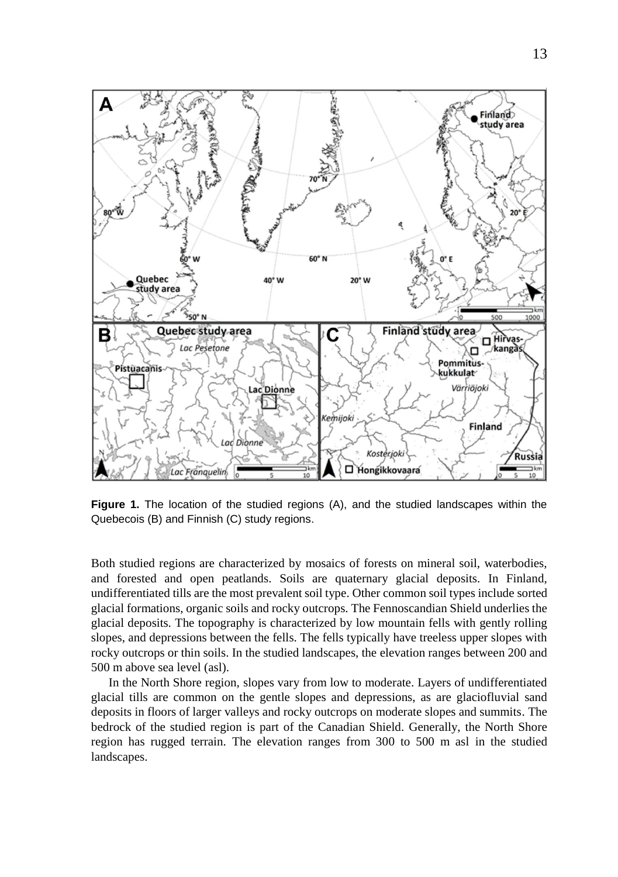

**Figure 1.** The location of the studied regions (A), and the studied landscapes within the Quebecois (B) and Finnish (C) study regions.

Both studied regions are characterized by mosaics of forests on mineral soil, waterbodies, and forested and open peatlands. Soils are quaternary glacial deposits. In Finland, undifferentiated tills are the most prevalent soil type. Other common soil types include sorted glacial formations, organic soils and rocky outcrops. The Fennoscandian Shield underlies the glacial deposits. The topography is characterized by low mountain fells with gently rolling slopes, and depressions between the fells. The fells typically have treeless upper slopes with rocky outcrops or thin soils. In the studied landscapes, the elevation ranges between 200 and 500 m above sea level (asl).

In the North Shore region, slopes vary from low to moderate. Layers of undifferentiated glacial tills are common on the gentle slopes and depressions, as are glaciofluvial sand deposits in floors of larger valleys and rocky outcrops on moderate slopes and summits. The bedrock of the studied region is part of the Canadian Shield. Generally, the North Shore region has rugged terrain. The elevation ranges from 300 to 500 m asl in the studied landscapes.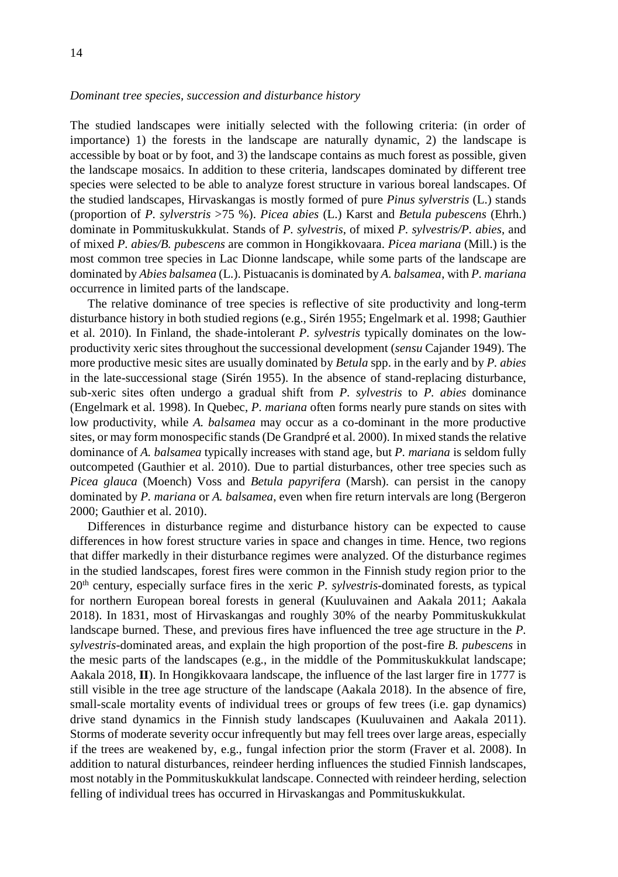#### <span id="page-13-0"></span>*Dominant tree species, succession and disturbance history*

The studied landscapes were initially selected with the following criteria: (in order of importance) 1) the forests in the landscape are naturally dynamic, 2) the landscape is accessible by boat or by foot, and 3) the landscape contains as much forest as possible, given the landscape mosaics. In addition to these criteria, landscapes dominated by different tree species were selected to be able to analyze forest structure in various boreal landscapes. Of the studied landscapes, Hirvaskangas is mostly formed of pure *Pinus sylverstris* (L.) stands (proportion of *P. sylverstris* >75 %). *Picea abies* (L.) Karst and *Betula pubescens* (Ehrh.) dominate in Pommituskukkulat. Stands of *P. sylvestris*, of mixed *P. sylvestris/P. abies*, and of mixed *P. abies/B. pubescens* are common in Hongikkovaara. *Picea mariana* (Mill.) is the most common tree species in Lac Dionne landscape, while some parts of the landscape are dominated by *Abies balsamea* (L.). Pistuacanisis dominated by *A. balsamea*, with *P. mariana*  occurrence in limited parts of the landscape.

The relative dominance of tree species is reflective of site productivity and long-term disturbance history in both studied regions (e.g., Sirén 1955; Engelmark et al. 1998; Gauthier et al. 2010). In Finland, the shade-intolerant *P. sylvestris* typically dominates on the lowproductivity xeric sites throughout the successional development (*sensu* Cajander 1949). The more productive mesic sites are usually dominated by *Betula* spp. in the early and by *P. abies*  in the late-successional stage (Sirén 1955). In the absence of stand-replacing disturbance, sub-xeric sites often undergo a gradual shift from *P. sylvestris* to *P. abies* dominance (Engelmark et al. 1998). In Quebec, *P. mariana* often forms nearly pure stands on sites with low productivity, while *A. balsamea* may occur as a co-dominant in the more productive sites, or may form monospecific stands (De Grandpré et al. 2000). In mixed stands the relative dominance of *A. balsamea* typically increases with stand age, but *P. mariana* is seldom fully outcompeted (Gauthier et al. 2010). Due to partial disturbances, other tree species such as *Picea glauca* (Moench) Voss and *Betula papyrifera* (Marsh). can persist in the canopy dominated by *P. mariana* or *A. balsamea*, even when fire return intervals are long (Bergeron 2000; Gauthier et al. 2010).

Differences in disturbance regime and disturbance history can be expected to cause differences in how forest structure varies in space and changes in time. Hence, two regions that differ markedly in their disturbance regimes were analyzed. Of the disturbance regimes in the studied landscapes, forest fires were common in the Finnish study region prior to the 20th century, especially surface fires in the xeric *P. sylvestris*-dominated forests, as typical for northern European boreal forests in general (Kuuluvainen and Aakala 2011; Aakala 2018). In 1831, most of Hirvaskangas and roughly 30% of the nearby Pommituskukkulat landscape burned. These, and previous fires have influenced the tree age structure in the *P. sylvestris*-dominated areas, and explain the high proportion of the post-fire *B. pubescens* in the mesic parts of the landscapes (e.g., in the middle of the Pommituskukkulat landscape; Aakala 2018, **II**). In Hongikkovaara landscape, the influence of the last larger fire in 1777 is still visible in the tree age structure of the landscape (Aakala 2018). In the absence of fire, small-scale mortality events of individual trees or groups of few trees (i.e. gap dynamics) drive stand dynamics in the Finnish study landscapes (Kuuluvainen and Aakala 2011). Storms of moderate severity occur infrequently but may fell trees over large areas, especially if the trees are weakened by, e.g., fungal infection prior the storm (Fraver et al. 2008). In addition to natural disturbances, reindeer herding influences the studied Finnish landscapes, most notably in the Pommituskukkulat landscape. Connected with reindeer herding, selection felling of individual trees has occurred in Hirvaskangas and Pommituskukkulat.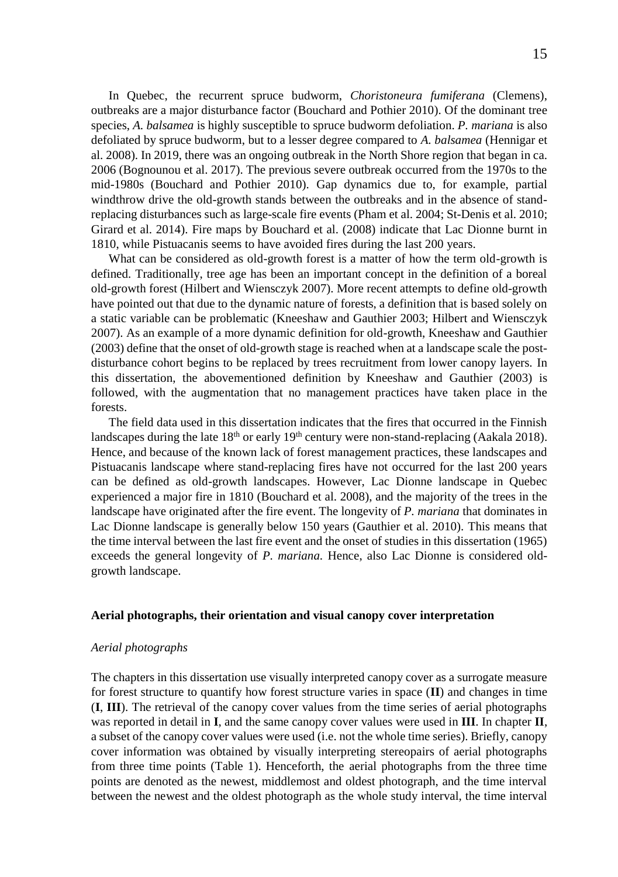In Quebec, the recurrent spruce budworm, *Choristoneura fumiferana* (Clemens), outbreaks are a major disturbance factor (Bouchard and Pothier 2010). Of the dominant tree species, *A. balsamea* is highly susceptible to spruce budworm defoliation. *P. mariana* is also defoliated by spruce budworm, but to a lesser degree compared to *A. balsamea* (Hennigar et al. 2008). In 2019, there was an ongoing outbreak in the North Shore region that began in ca. 2006 (Bognounou et al. 2017). The previous severe outbreak occurred from the 1970s to the mid-1980s (Bouchard and Pothier 2010). Gap dynamics due to, for example, partial windthrow drive the old-growth stands between the outbreaks and in the absence of standreplacing disturbances such as large-scale fire events (Pham et al. 2004; St-Denis et al. 2010; Girard et al. 2014). Fire maps by Bouchard et al. (2008) indicate that Lac Dionne burnt in 1810, while Pistuacanis seems to have avoided fires during the last 200 years.

What can be considered as old-growth forest is a matter of how the term old-growth is defined. Traditionally, tree age has been an important concept in the definition of a boreal old-growth forest (Hilbert and Wiensczyk 2007). More recent attempts to define old-growth have pointed out that due to the dynamic nature of forests, a definition that is based solely on a static variable can be problematic (Kneeshaw and Gauthier 2003; Hilbert and Wiensczyk 2007). As an example of a more dynamic definition for old-growth, Kneeshaw and Gauthier (2003) define that the onset of old-growth stage is reached when at a landscape scale the postdisturbance cohort begins to be replaced by trees recruitment from lower canopy layers. In this dissertation, the abovementioned definition by Kneeshaw and Gauthier (2003) is followed, with the augmentation that no management practices have taken place in the forests.

The field data used in this dissertation indicates that the fires that occurred in the Finnish landscapes during the late  $18<sup>th</sup>$  or early  $19<sup>th</sup>$  century were non-stand-replacing (Aakala 2018). Hence, and because of the known lack of forest management practices, these landscapes and Pistuacanis landscape where stand-replacing fires have not occurred for the last 200 years can be defined as old-growth landscapes. However, Lac Dionne landscape in Quebec experienced a major fire in 1810 (Bouchard et al. 2008), and the majority of the trees in the landscape have originated after the fire event. The longevity of *P. mariana* that dominates in Lac Dionne landscape is generally below 150 years (Gauthier et al. 2010). This means that the time interval between the last fire event and the onset of studies in this dissertation (1965) exceeds the general longevity of *P. mariana.* Hence, also Lac Dionne is considered oldgrowth landscape.

#### <span id="page-14-0"></span>**Aerial photographs, their orientation and visual canopy cover interpretation**

#### <span id="page-14-1"></span>*Aerial photographs*

The chapters in this dissertation use visually interpreted canopy cover as a surrogate measure for forest structure to quantify how forest structure varies in space (**II**) and changes in time (**I**, **III**). The retrieval of the canopy cover values from the time series of aerial photographs was reported in detail in **I**, and the same canopy cover values were used in **III**. In chapter **II**, a subset of the canopy cover values were used (i.e. not the whole time series). Briefly, canopy cover information was obtained by visually interpreting stereopairs of aerial photographs from three time points (Table 1). Henceforth, the aerial photographs from the three time points are denoted as the newest, middlemost and oldest photograph, and the time interval between the newest and the oldest photograph as the whole study interval, the time interval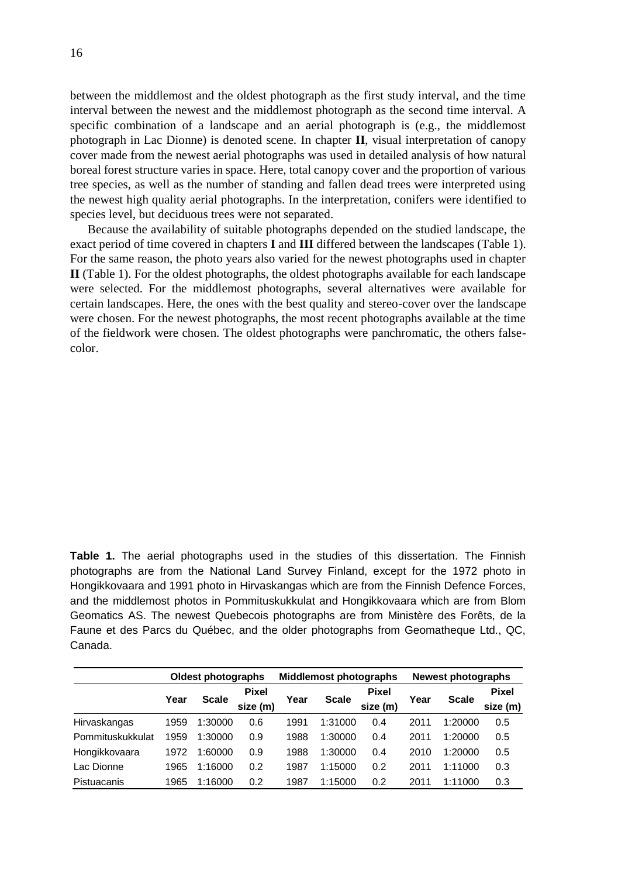between the middlemost and the oldest photograph as the first study interval, and the time interval between the newest and the middlemost photograph as the second time interval. A specific combination of a landscape and an aerial photograph is (e.g., the middlemost photograph in Lac Dionne) is denoted scene. In chapter **II**, visual interpretation of canopy cover made from the newest aerial photographs was used in detailed analysis of how natural boreal forest structure varies in space. Here, total canopy cover and the proportion of various tree species, as well as the number of standing and fallen dead trees were interpreted using the newest high quality aerial photographs. In the interpretation, conifers were identified to species level, but deciduous trees were not separated.

Because the availability of suitable photographs depended on the studied landscape, the exact period of time covered in chapters **I** and **III** differed between the landscapes (Table 1). For the same reason, the photo years also varied for the newest photographs used in chapter **II** (Table 1). For the oldest photographs, the oldest photographs available for each landscape were selected. For the middlemost photographs, several alternatives were available for certain landscapes. Here, the ones with the best quality and stereo-cover over the landscape were chosen. For the newest photographs, the most recent photographs available at the time of the fieldwork were chosen. The oldest photographs were panchromatic, the others falsecolor.

**Table 1.** The aerial photographs used in the studies of this dissertation. The Finnish photographs are from the National Land Survey Finland, except for the 1972 photo in Hongikkovaara and 1991 photo in Hirvaskangas which are from the Finnish Defence Forces, and the middlemost photos in Pommituskukkulat and Hongikkovaara which are from Blom Geomatics AS. The newest Quebecois photographs are from Ministère des Forêts, de la Faune et des Parcs du Québec, and the older photographs from Geomatheque Ltd., QC, Canada.

|                  |      | <b>Oldest photographs</b> |                          |      | <b>Middlemost photographs</b> |                          | <b>Newest photographs</b> |              |                          |  |
|------------------|------|---------------------------|--------------------------|------|-------------------------------|--------------------------|---------------------------|--------------|--------------------------|--|
|                  | Year | <b>Scale</b>              | <b>Pixel</b><br>size (m) | Year | <b>Scale</b>                  | <b>Pixel</b><br>size (m) | Year                      | <b>Scale</b> | <b>Pixel</b><br>size (m) |  |
| Hirvaskangas     | 1959 | 1:30000                   | 0.6                      | 1991 | 1:31000                       | 0.4                      | 2011                      | 1:20000      | 0.5                      |  |
| Pommituskukkulat | 1959 | 1:30000                   | 0.9                      | 1988 | 1:30000                       | 0.4                      | 2011                      | 1:20000      | 0.5                      |  |
| Hongikkovaara    | 1972 | 1:60000                   | 0.9                      | 1988 | 1:30000                       | 0.4                      | 2010                      | 1:20000      | 0.5                      |  |
| Lac Dionne       | 1965 | 1:16000                   | 0.2                      | 1987 | 1:15000                       | 0.2                      | 2011                      | 1:11000      | 0.3                      |  |
| Pistuacanis      | 1965 | 1:16000                   | 0.2                      | 1987 | 1:15000                       | 0.2                      | 2011                      | 1:11000      | 0.3                      |  |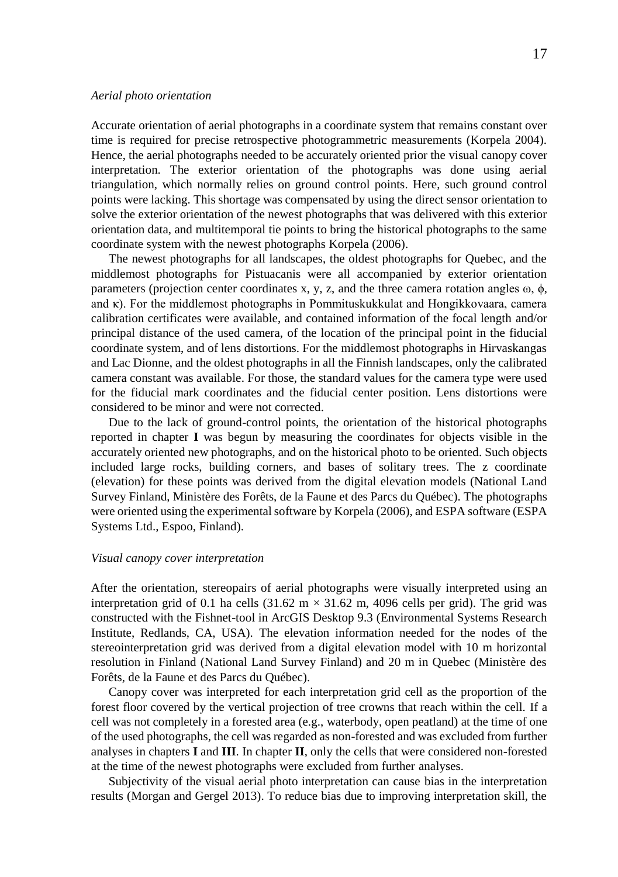#### <span id="page-16-0"></span>*Aerial photo orientation*

Accurate orientation of aerial photographs in a coordinate system that remains constant over time is required for precise retrospective photogrammetric measurements (Korpela 2004). Hence, the aerial photographs needed to be accurately oriented prior the visual canopy cover interpretation. The exterior orientation of the photographs was done using aerial triangulation, which normally relies on ground control points. Here, such ground control points were lacking. This shortage was compensated by using the direct sensor orientation to solve the exterior orientation of the newest photographs that was delivered with this exterior orientation data, and multitemporal tie points to bring the historical photographs to the same coordinate system with the newest photographs Korpela (2006).

The newest photographs for all landscapes, the oldest photographs for Quebec, and the middlemost photographs for Pistuacanis were all accompanied by exterior orientation parameters (projection center coordinates x, y, z, and the three camera rotation angles  $\omega$ ,  $\phi$ , and κ). For the middlemost photographs in Pommituskukkulat and Hongikkovaara, camera calibration certificates were available, and contained information of the focal length and/or principal distance of the used camera, of the location of the principal point in the fiducial coordinate system, and of lens distortions. For the middlemost photographs in Hirvaskangas and Lac Dionne, and the oldest photographs in all the Finnish landscapes, only the calibrated camera constant was available. For those, the standard values for the camera type were used for the fiducial mark coordinates and the fiducial center position. Lens distortions were considered to be minor and were not corrected.

Due to the lack of ground-control points, the orientation of the historical photographs reported in chapter **I** was begun by measuring the coordinates for objects visible in the accurately oriented new photographs, and on the historical photo to be oriented. Such objects included large rocks, building corners, and bases of solitary trees. The z coordinate (elevation) for these points was derived from the digital elevation models (National Land Survey Finland, Ministère des Forêts, de la Faune et des Parcs du Québec). The photographs were oriented using the experimental software by Korpela (2006), and ESPA software (ESPA Systems Ltd., Espoo, Finland).

### <span id="page-16-1"></span>*Visual canopy cover interpretation*

After the orientation, stereopairs of aerial photographs were visually interpreted using an interpretation grid of 0.1 ha cells (31.62 m  $\times$  31.62 m, 4096 cells per grid). The grid was constructed with the Fishnet-tool in ArcGIS Desktop 9.3 (Environmental Systems Research Institute, Redlands, CA, USA). The elevation information needed for the nodes of the stereointerpretation grid was derived from a digital elevation model with 10 m horizontal resolution in Finland (National Land Survey Finland) and 20 m in Quebec (Ministère des Forêts, de la Faune et des Parcs du Québec).

Canopy cover was interpreted for each interpretation grid cell as the proportion of the forest floor covered by the vertical projection of tree crowns that reach within the cell. If a cell was not completely in a forested area (e.g., waterbody, open peatland) at the time of one of the used photographs, the cell was regarded as non-forested and was excluded from further analyses in chapters **I** and **III**. In chapter **II**, only the cells that were considered non-forested at the time of the newest photographs were excluded from further analyses.

Subjectivity of the visual aerial photo interpretation can cause bias in the interpretation results (Morgan and Gergel 2013). To reduce bias due to improving interpretation skill, the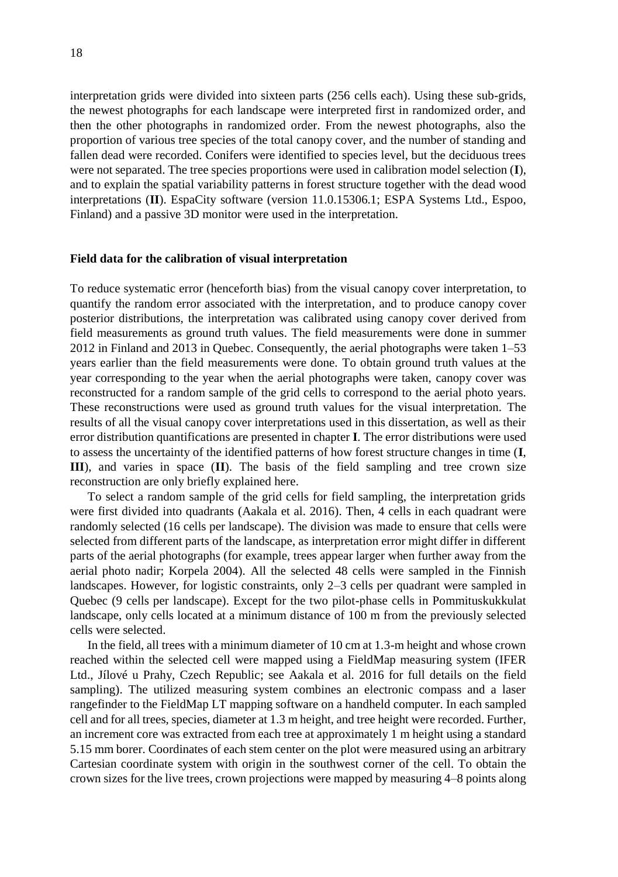interpretation grids were divided into sixteen parts (256 cells each). Using these sub-grids, the newest photographs for each landscape were interpreted first in randomized order, and then the other photographs in randomized order. From the newest photographs, also the proportion of various tree species of the total canopy cover, and the number of standing and fallen dead were recorded. Conifers were identified to species level, but the deciduous trees were not separated. The tree species proportions were used in calibration model selection (**I**), and to explain the spatial variability patterns in forest structure together with the dead wood interpretations (**II**). EspaCity software (version 11.0.15306.1; ESPA Systems Ltd., Espoo, Finland) and a passive 3D monitor were used in the interpretation.

#### <span id="page-17-0"></span>**Field data for the calibration of visual interpretation**

To reduce systematic error (henceforth bias) from the visual canopy cover interpretation, to quantify the random error associated with the interpretation, and to produce canopy cover posterior distributions, the interpretation was calibrated using canopy cover derived from field measurements as ground truth values. The field measurements were done in summer 2012 in Finland and 2013 in Quebec. Consequently, the aerial photographs were taken 1–53 years earlier than the field measurements were done. To obtain ground truth values at the year corresponding to the year when the aerial photographs were taken, canopy cover was reconstructed for a random sample of the grid cells to correspond to the aerial photo years. These reconstructions were used as ground truth values for the visual interpretation. The results of all the visual canopy cover interpretations used in this dissertation, as well as their error distribution quantifications are presented in chapter **I**. The error distributions were used to assess the uncertainty of the identified patterns of how forest structure changes in time (**I**, **III**), and varies in space (**II**). The basis of the field sampling and tree crown size reconstruction are only briefly explained here.

To select a random sample of the grid cells for field sampling, the interpretation grids were first divided into quadrants (Aakala et al. 2016). Then, 4 cells in each quadrant were randomly selected (16 cells per landscape). The division was made to ensure that cells were selected from different parts of the landscape, as interpretation error might differ in different parts of the aerial photographs (for example, trees appear larger when further away from the aerial photo nadir; Korpela 2004). All the selected 48 cells were sampled in the Finnish landscapes. However, for logistic constraints, only 2–3 cells per quadrant were sampled in Quebec (9 cells per landscape). Except for the two pilot-phase cells in Pommituskukkulat landscape, only cells located at a minimum distance of 100 m from the previously selected cells were selected.

In the field, all trees with a minimum diameter of 10 cm at 1.3-m height and whose crown reached within the selected cell were mapped using a FieldMap measuring system (IFER Ltd., Jílové u Prahy, Czech Republic; see Aakala et al. 2016 for full details on the field sampling). The utilized measuring system combines an electronic compass and a laser rangefinder to the FieldMap LT mapping software on a handheld computer. In each sampled cell and for all trees, species, diameter at 1.3 m height, and tree height were recorded. Further, an increment core was extracted from each tree at approximately 1 m height using a standard 5.15 mm borer. Coordinates of each stem center on the plot were measured using an arbitrary Cartesian coordinate system with origin in the southwest corner of the cell. To obtain the crown sizes for the live trees, crown projections were mapped by measuring 4–8 points along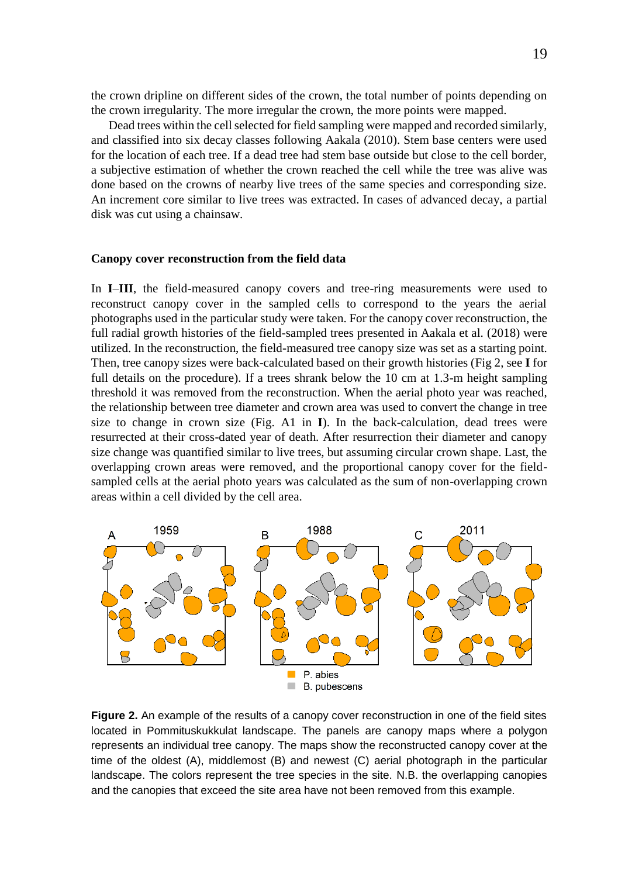the crown dripline on different sides of the crown, the total number of points depending on the crown irregularity. The more irregular the crown, the more points were mapped.

Dead trees within the cell selected for field sampling were mapped and recorded similarly, and classified into six decay classes following Aakala (2010). Stem base centers were used for the location of each tree. If a dead tree had stem base outside but close to the cell border, a subjective estimation of whether the crown reached the cell while the tree was alive was done based on the crowns of nearby live trees of the same species and corresponding size. An increment core similar to live trees was extracted. In cases of advanced decay, a partial disk was cut using a chainsaw.

#### <span id="page-18-0"></span>**Canopy cover reconstruction from the field data**

In **I**–**III**, the field-measured canopy covers and tree-ring measurements were used to reconstruct canopy cover in the sampled cells to correspond to the years the aerial photographs used in the particular study were taken. For the canopy cover reconstruction, the full radial growth histories of the field-sampled trees presented in Aakala et al. (2018) were utilized. In the reconstruction, the field-measured tree canopy size was set as a starting point. Then, tree canopy sizes were back-calculated based on their growth histories (Fig 2, see **I** for full details on the procedure). If a trees shrank below the 10 cm at 1.3-m height sampling threshold it was removed from the reconstruction. When the aerial photo year was reached, the relationship between tree diameter and crown area was used to convert the change in tree size to change in crown size (Fig. A1 in **I**). In the back-calculation, dead trees were resurrected at their cross-dated year of death. After resurrection their diameter and canopy size change was quantified similar to live trees, but assuming circular crown shape. Last, the overlapping crown areas were removed, and the proportional canopy cover for the fieldsampled cells at the aerial photo years was calculated as the sum of non-overlapping crown areas within a cell divided by the cell area.



**Figure 2.** An example of the results of a canopy cover reconstruction in one of the field sites located in Pommituskukkulat landscape. The panels are canopy maps where a polygon represents an individual tree canopy. The maps show the reconstructed canopy cover at the time of the oldest (A), middlemost (B) and newest (C) aerial photograph in the particular landscape. The colors represent the tree species in the site. N.B. the overlapping canopies and the canopies that exceed the site area have not been removed from this example.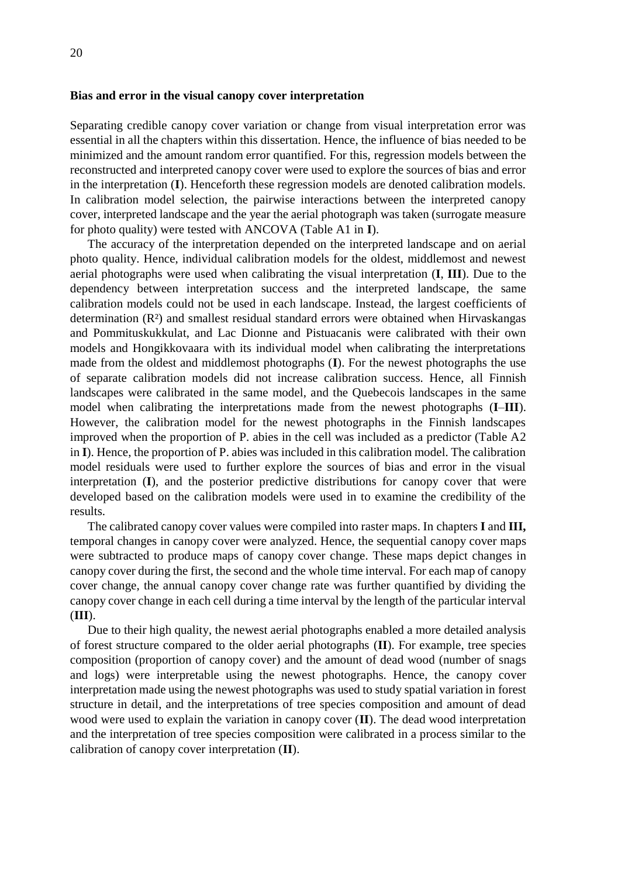#### <span id="page-19-0"></span>**Bias and error in the visual canopy cover interpretation**

Separating credible canopy cover variation or change from visual interpretation error was essential in all the chapters within this dissertation. Hence, the influence of bias needed to be minimized and the amount random error quantified. For this, regression models between the reconstructed and interpreted canopy cover were used to explore the sources of bias and error in the interpretation (**I**). Henceforth these regression models are denoted calibration models. In calibration model selection, the pairwise interactions between the interpreted canopy cover, interpreted landscape and the year the aerial photograph was taken (surrogate measure for photo quality) were tested with ANCOVA (Table A1 in **I**).

The accuracy of the interpretation depended on the interpreted landscape and on aerial photo quality. Hence, individual calibration models for the oldest, middlemost and newest aerial photographs were used when calibrating the visual interpretation (**I**, **III**). Due to the dependency between interpretation success and the interpreted landscape, the same calibration models could not be used in each landscape. Instead, the largest coefficients of determination (R²) and smallest residual standard errors were obtained when Hirvaskangas and Pommituskukkulat, and Lac Dionne and Pistuacanis were calibrated with their own models and Hongikkovaara with its individual model when calibrating the interpretations made from the oldest and middlemost photographs (**I**). For the newest photographs the use of separate calibration models did not increase calibration success. Hence, all Finnish landscapes were calibrated in the same model, and the Quebecois landscapes in the same model when calibrating the interpretations made from the newest photographs (**I**–**III**). However, the calibration model for the newest photographs in the Finnish landscapes improved when the proportion of P. abies in the cell was included as a predictor (Table A2 in **I**). Hence, the proportion of P. abies was included in this calibration model. The calibration model residuals were used to further explore the sources of bias and error in the visual interpretation (**I**), and the posterior predictive distributions for canopy cover that were developed based on the calibration models were used in to examine the credibility of the results.

The calibrated canopy cover values were compiled into raster maps. In chapters **I** and **III,** temporal changes in canopy cover were analyzed. Hence, the sequential canopy cover maps were subtracted to produce maps of canopy cover change. These maps depict changes in canopy cover during the first, the second and the whole time interval. For each map of canopy cover change, the annual canopy cover change rate was further quantified by dividing the canopy cover change in each cell during a time interval by the length of the particular interval (**III**).

Due to their high quality, the newest aerial photographs enabled a more detailed analysis of forest structure compared to the older aerial photographs (**II**). For example, tree species composition (proportion of canopy cover) and the amount of dead wood (number of snags and logs) were interpretable using the newest photographs. Hence, the canopy cover interpretation made using the newest photographs was used to study spatial variation in forest structure in detail, and the interpretations of tree species composition and amount of dead wood were used to explain the variation in canopy cover (**II**). The dead wood interpretation and the interpretation of tree species composition were calibrated in a process similar to the calibration of canopy cover interpretation (**II**).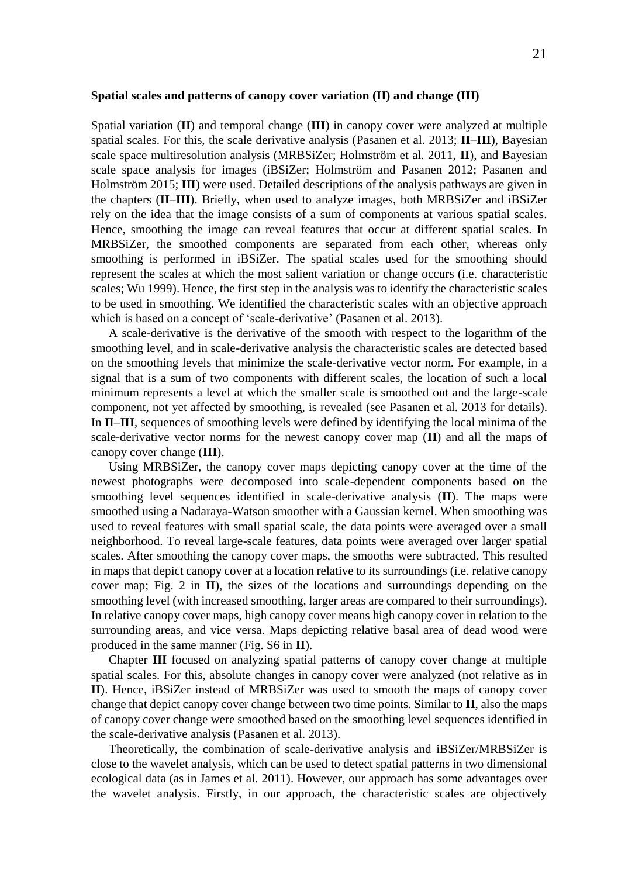#### <span id="page-20-0"></span>**Spatial scales and patterns of canopy cover variation (II) and change (III)**

Spatial variation (**II**) and temporal change (**III**) in canopy cover were analyzed at multiple spatial scales. For this, the scale derivative analysis (Pasanen et al. 2013; **II**–**III**), Bayesian scale space multiresolution analysis (MRBSiZer; Holmström et al. 2011, **II**), and Bayesian scale space analysis for images (iBSiZer; Holmström and Pasanen 2012; Pasanen and Holmström 2015; **III**) were used. Detailed descriptions of the analysis pathways are given in the chapters (**II**–**III**). Briefly, when used to analyze images, both MRBSiZer and iBSiZer rely on the idea that the image consists of a sum of components at various spatial scales. Hence, smoothing the image can reveal features that occur at different spatial scales. In MRBSiZer, the smoothed components are separated from each other, whereas only smoothing is performed in iBSiZer. The spatial scales used for the smoothing should represent the scales at which the most salient variation or change occurs (i.e. characteristic scales; Wu 1999). Hence, the first step in the analysis was to identify the characteristic scales to be used in smoothing. We identified the characteristic scales with an objective approach which is based on a concept of 'scale-derivative' (Pasanen et al. 2013).

A scale-derivative is the derivative of the smooth with respect to the logarithm of the smoothing level, and in scale-derivative analysis the characteristic scales are detected based on the smoothing levels that minimize the scale-derivative vector norm. For example, in a signal that is a sum of two components with different scales, the location of such a local minimum represents a level at which the smaller scale is smoothed out and the large-scale component, not yet affected by smoothing, is revealed (see Pasanen et al. 2013 for details). In **II**–**III**, sequences of smoothing levels were defined by identifying the local minima of the scale-derivative vector norms for the newest canopy cover map (**II**) and all the maps of canopy cover change (**III**).

Using MRBSiZer, the canopy cover maps depicting canopy cover at the time of the newest photographs were decomposed into scale-dependent components based on the smoothing level sequences identified in scale-derivative analysis (**II**). The maps were smoothed using a Nadaraya-Watson smoother with a Gaussian kernel. When smoothing was used to reveal features with small spatial scale, the data points were averaged over a small neighborhood. To reveal large-scale features, data points were averaged over larger spatial scales. After smoothing the canopy cover maps, the smooths were subtracted. This resulted in maps that depict canopy cover at a location relative to its surroundings (i.e. relative canopy cover map; Fig. 2 in **II**), the sizes of the locations and surroundings depending on the smoothing level (with increased smoothing, larger areas are compared to their surroundings). In relative canopy cover maps, high canopy cover means high canopy cover in relation to the surrounding areas, and vice versa. Maps depicting relative basal area of dead wood were produced in the same manner (Fig. S6 in **II**).

Chapter **III** focused on analyzing spatial patterns of canopy cover change at multiple spatial scales. For this, absolute changes in canopy cover were analyzed (not relative as in **II**). Hence, iBSiZer instead of MRBSiZer was used to smooth the maps of canopy cover change that depict canopy cover change between two time points. Similar to **II**, also the maps of canopy cover change were smoothed based on the smoothing level sequences identified in the scale-derivative analysis (Pasanen et al. 2013).

Theoretically, the combination of scale-derivative analysis and iBSiZer/MRBSiZer is close to the wavelet analysis, which can be used to detect spatial patterns in two dimensional ecological data (as in James et al. 2011). However, our approach has some advantages over the wavelet analysis. Firstly, in our approach, the characteristic scales are objectively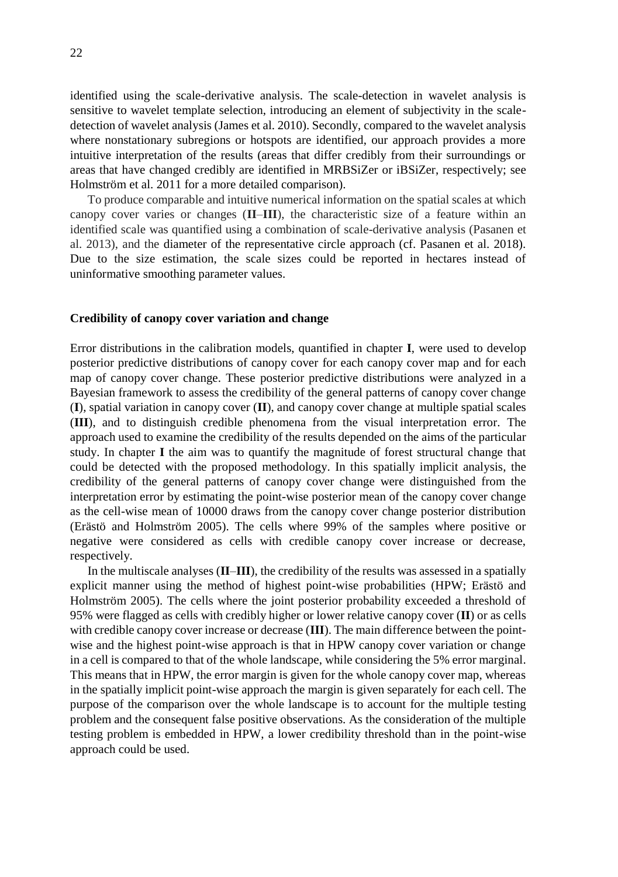identified using the scale-derivative analysis. The scale-detection in wavelet analysis is sensitive to wavelet template selection, introducing an element of subjectivity in the scaledetection of wavelet analysis (James et al. 2010). Secondly, compared to the wavelet analysis where nonstationary subregions or hotspots are identified, our approach provides a more intuitive interpretation of the results (areas that differ credibly from their surroundings or areas that have changed credibly are identified in MRBSiZer or iBSiZer, respectively; see Holmström et al. 2011 for a more detailed comparison).

To produce comparable and intuitive numerical information on the spatial scales at which canopy cover varies or changes (**II**–**III**), the characteristic size of a feature within an identified scale was quantified using a combination of scale-derivative analysis (Pasanen et al. 2013), and the diameter of the representative circle approach (cf. Pasanen et al. 2018). Due to the size estimation, the scale sizes could be reported in hectares instead of uninformative smoothing parameter values.

### <span id="page-21-0"></span>**Credibility of canopy cover variation and change**

Error distributions in the calibration models, quantified in chapter **I**, were used to develop posterior predictive distributions of canopy cover for each canopy cover map and for each map of canopy cover change. These posterior predictive distributions were analyzed in a Bayesian framework to assess the credibility of the general patterns of canopy cover change (**I**), spatial variation in canopy cover (**II**), and canopy cover change at multiple spatial scales (**III**), and to distinguish credible phenomena from the visual interpretation error. The approach used to examine the credibility of the results depended on the aims of the particular study. In chapter **I** the aim was to quantify the magnitude of forest structural change that could be detected with the proposed methodology. In this spatially implicit analysis, the credibility of the general patterns of canopy cover change were distinguished from the interpretation error by estimating the point-wise posterior mean of the canopy cover change as the cell-wise mean of 10000 draws from the canopy cover change posterior distribution (Erästö and Holmström 2005). The cells where 99% of the samples where positive or negative were considered as cells with credible canopy cover increase or decrease, respectively.

In the multiscale analyses (**II**–**III**), the credibility of the results was assessed in a spatially explicit manner using the method of highest point-wise probabilities (HPW; Erästö and Holmström 2005). The cells where the joint posterior probability exceeded a threshold of 95% were flagged as cells with credibly higher or lower relative canopy cover (**II**) or as cells with credible canopy cover increase or decrease (**III**). The main difference between the pointwise and the highest point-wise approach is that in HPW canopy cover variation or change in a cell is compared to that of the whole landscape, while considering the 5% error marginal. This means that in HPW, the error margin is given for the whole canopy cover map, whereas in the spatially implicit point-wise approach the margin is given separately for each cell. The purpose of the comparison over the whole landscape is to account for the multiple testing problem and the consequent false positive observations. As the consideration of the multiple testing problem is embedded in HPW, a lower credibility threshold than in the point-wise approach could be used.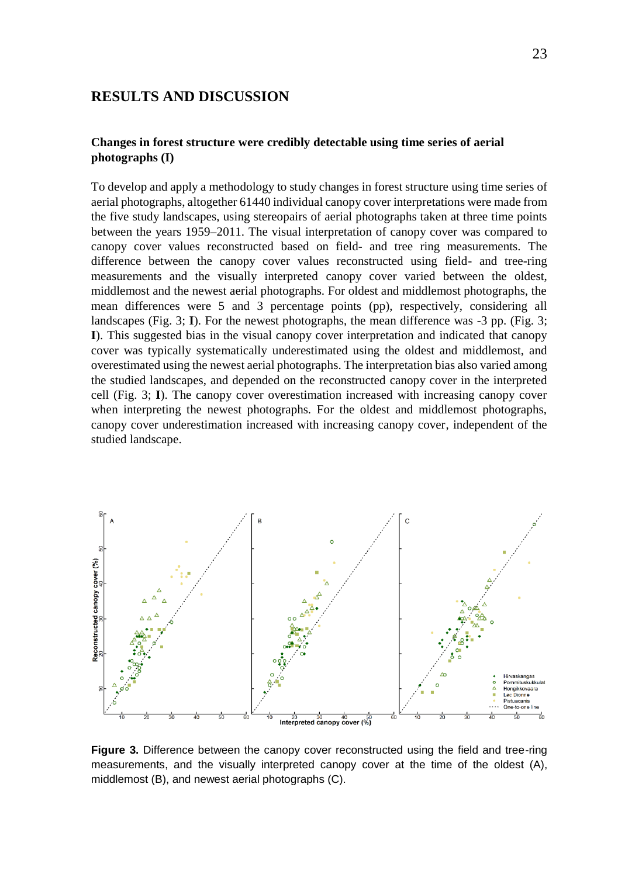### <span id="page-22-0"></span>**RESULTS AND DISCUSSION**

### <span id="page-22-1"></span>**Changes in forest structure were credibly detectable using time series of aerial photographs (I)**

To develop and apply a methodology to study changes in forest structure using time series of aerial photographs, altogether 61440 individual canopy cover interpretations were made from the five study landscapes, using stereopairs of aerial photographs taken at three time points between the years 1959–2011. The visual interpretation of canopy cover was compared to canopy cover values reconstructed based on field- and tree ring measurements. The difference between the canopy cover values reconstructed using field- and tree-ring measurements and the visually interpreted canopy cover varied between the oldest, middlemost and the newest aerial photographs. For oldest and middlemost photographs, the mean differences were 5 and 3 percentage points (pp), respectively, considering all landscapes (Fig. 3; **I**). For the newest photographs, the mean difference was -3 pp. (Fig. 3; **I**). This suggested bias in the visual canopy cover interpretation and indicated that canopy cover was typically systematically underestimated using the oldest and middlemost, and overestimated using the newest aerial photographs. The interpretation bias also varied among the studied landscapes, and depended on the reconstructed canopy cover in the interpreted cell (Fig. 3; **I**). The canopy cover overestimation increased with increasing canopy cover when interpreting the newest photographs. For the oldest and middlemost photographs, canopy cover underestimation increased with increasing canopy cover, independent of the studied landscape.



**Figure 3.** Difference between the canopy cover reconstructed using the field and tree-ring measurements, and the visually interpreted canopy cover at the time of the oldest (A), middlemost (B), and newest aerial photographs (C).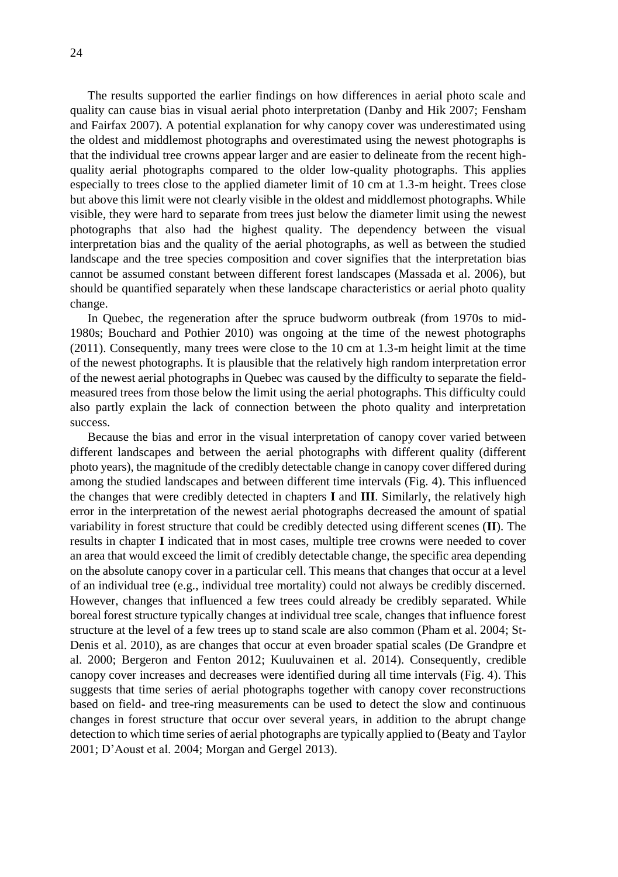The results supported the earlier findings on how differences in aerial photo scale and quality can cause bias in visual aerial photo interpretation (Danby and Hik 2007; Fensham and Fairfax 2007). A potential explanation for why canopy cover was underestimated using the oldest and middlemost photographs and overestimated using the newest photographs is that the individual tree crowns appear larger and are easier to delineate from the recent highquality aerial photographs compared to the older low-quality photographs. This applies especially to trees close to the applied diameter limit of 10 cm at 1.3-m height. Trees close but above this limit were not clearly visible in the oldest and middlemost photographs. While visible, they were hard to separate from trees just below the diameter limit using the newest photographs that also had the highest quality. The dependency between the visual interpretation bias and the quality of the aerial photographs, as well as between the studied landscape and the tree species composition and cover signifies that the interpretation bias cannot be assumed constant between different forest landscapes (Massada et al. 2006), but should be quantified separately when these landscape characteristics or aerial photo quality change.

In Quebec, the regeneration after the spruce budworm outbreak (from 1970s to mid-1980s; Bouchard and Pothier 2010) was ongoing at the time of the newest photographs (2011). Consequently, many trees were close to the 10 cm at 1.3-m height limit at the time of the newest photographs. It is plausible that the relatively high random interpretation error of the newest aerial photographs in Quebec was caused by the difficulty to separate the fieldmeasured trees from those below the limit using the aerial photographs. This difficulty could also partly explain the lack of connection between the photo quality and interpretation success.

Because the bias and error in the visual interpretation of canopy cover varied between different landscapes and between the aerial photographs with different quality (different photo years), the magnitude of the credibly detectable change in canopy cover differed during among the studied landscapes and between different time intervals (Fig. 4). This influenced the changes that were credibly detected in chapters **I** and **III**. Similarly, the relatively high error in the interpretation of the newest aerial photographs decreased the amount of spatial variability in forest structure that could be credibly detected using different scenes (**II**). The results in chapter **I** indicated that in most cases, multiple tree crowns were needed to cover an area that would exceed the limit of credibly detectable change, the specific area depending on the absolute canopy cover in a particular cell. This means that changes that occur at a level of an individual tree (e.g., individual tree mortality) could not always be credibly discerned. However, changes that influenced a few trees could already be credibly separated. While boreal forest structure typically changes at individual tree scale, changes that influence forest structure at the level of a few trees up to stand scale are also common (Pham et al. 2004; St-Denis et al. 2010), as are changes that occur at even broader spatial scales (De Grandpre et al. 2000; Bergeron and Fenton 2012; Kuuluvainen et al. 2014). Consequently, credible canopy cover increases and decreases were identified during all time intervals (Fig. 4). This suggests that time series of aerial photographs together with canopy cover reconstructions based on field- and tree-ring measurements can be used to detect the slow and continuous changes in forest structure that occur over several years, in addition to the abrupt change detection to which time series of aerial photographs are typically applied to (Beaty and Taylor 2001; D'Aoust et al. 2004; Morgan and Gergel 2013).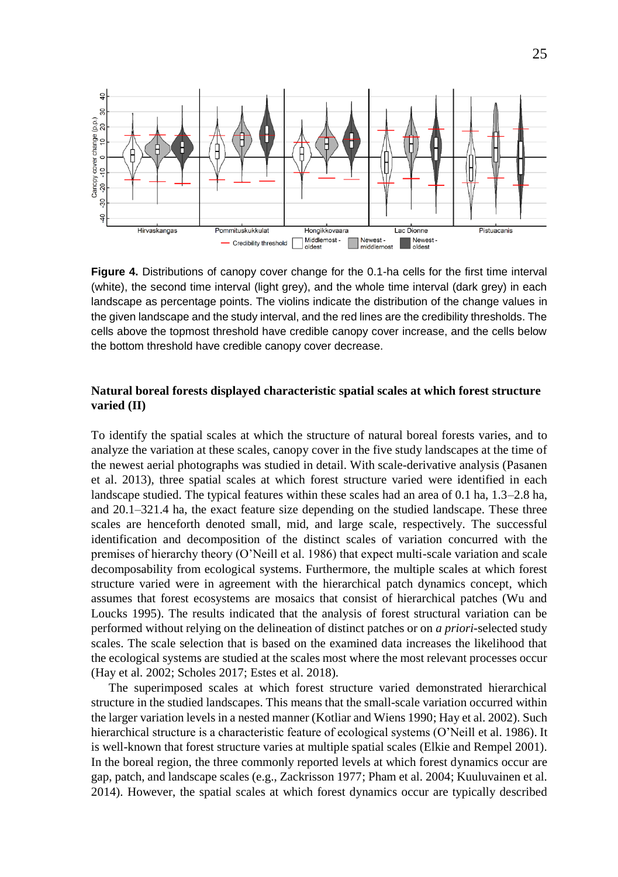

**Figure 4.** Distributions of canopy cover change for the 0.1-ha cells for the first time interval (white), the second time interval (light grey), and the whole time interval (dark grey) in each landscape as percentage points. The violins indicate the distribution of the change values in the given landscape and the study interval, and the red lines are the credibility thresholds. The cells above the topmost threshold have credible canopy cover increase, and the cells below the bottom threshold have credible canopy cover decrease.

### <span id="page-24-0"></span>**Natural boreal forests displayed characteristic spatial scales at which forest structure varied (II)**

To identify the spatial scales at which the structure of natural boreal forests varies, and to analyze the variation at these scales, canopy cover in the five study landscapes at the time of the newest aerial photographs was studied in detail. With scale-derivative analysis (Pasanen et al. 2013), three spatial scales at which forest structure varied were identified in each landscape studied. The typical features within these scales had an area of 0.1 ha, 1.3–2.8 ha, and 20.1–321.4 ha, the exact feature size depending on the studied landscape. These three scales are henceforth denoted small, mid, and large scale, respectively. The successful identification and decomposition of the distinct scales of variation concurred with the premises of hierarchy theory (O'Neill et al. 1986) that expect multi-scale variation and scale decomposability from ecological systems. Furthermore, the multiple scales at which forest structure varied were in agreement with the hierarchical patch dynamics concept, which assumes that forest ecosystems are mosaics that consist of hierarchical patches (Wu and Loucks 1995). The results indicated that the analysis of forest structural variation can be performed without relying on the delineation of distinct patches or on *a priori*-selected study scales. The scale selection that is based on the examined data increases the likelihood that the ecological systems are studied at the scales most where the most relevant processes occur (Hay et al. 2002; Scholes 2017; Estes et al. 2018).

The superimposed scales at which forest structure varied demonstrated hierarchical structure in the studied landscapes. This means that the small-scale variation occurred within the larger variation levels in a nested manner (Kotliar and Wiens 1990; Hay et al. 2002). Such hierarchical structure is a characteristic feature of ecological systems (O'Neill et al. 1986). It is well-known that forest structure varies at multiple spatial scales (Elkie and Rempel 2001). In the boreal region, the three commonly reported levels at which forest dynamics occur are gap, patch, and landscape scales (e.g., Zackrisson 1977; Pham et al. 2004; Kuuluvainen et al. 2014). However, the spatial scales at which forest dynamics occur are typically described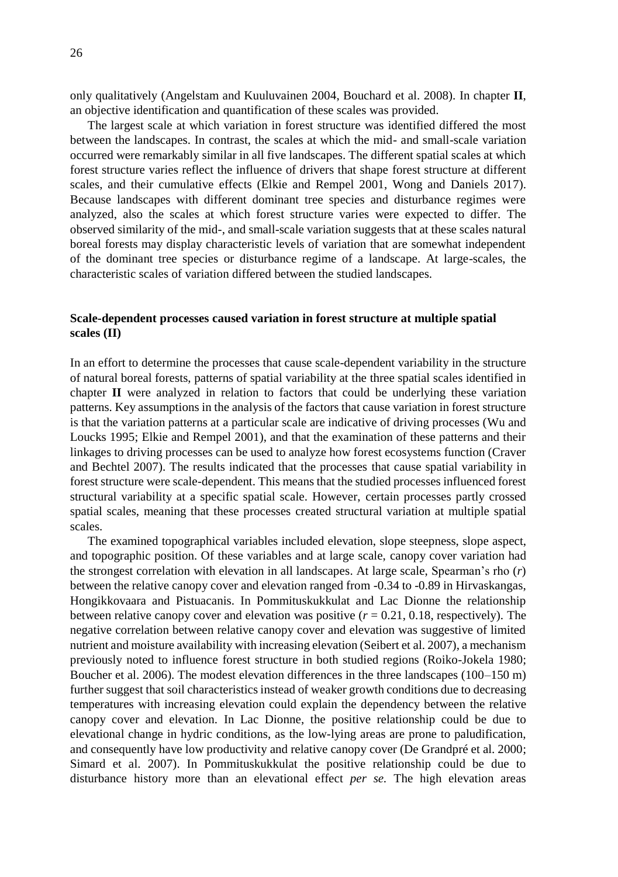only qualitatively (Angelstam and Kuuluvainen 2004, Bouchard et al. 2008). In chapter **II**, an objective identification and quantification of these scales was provided.

The largest scale at which variation in forest structure was identified differed the most between the landscapes. In contrast, the scales at which the mid- and small-scale variation occurred were remarkably similar in all five landscapes. The different spatial scales at which forest structure varies reflect the influence of drivers that shape forest structure at different scales, and their cumulative effects (Elkie and Rempel 2001, Wong and Daniels 2017). Because landscapes with different dominant tree species and disturbance regimes were analyzed, also the scales at which forest structure varies were expected to differ. The observed similarity of the mid-, and small-scale variation suggests that at these scales natural boreal forests may display characteristic levels of variation that are somewhat independent of the dominant tree species or disturbance regime of a landscape. At large-scales, the characteristic scales of variation differed between the studied landscapes.

### <span id="page-25-0"></span>**Scale-dependent processes caused variation in forest structure at multiple spatial scales (II)**

In an effort to determine the processes that cause scale-dependent variability in the structure of natural boreal forests, patterns of spatial variability at the three spatial scales identified in chapter **II** were analyzed in relation to factors that could be underlying these variation patterns. Key assumptions in the analysis of the factors that cause variation in forest structure is that the variation patterns at a particular scale are indicative of driving processes (Wu and Loucks 1995; Elkie and Rempel 2001), and that the examination of these patterns and their linkages to driving processes can be used to analyze how forest ecosystems function (Craver and Bechtel 2007). The results indicated that the processes that cause spatial variability in forest structure were scale-dependent. This means that the studied processes influenced forest structural variability at a specific spatial scale. However, certain processes partly crossed spatial scales, meaning that these processes created structural variation at multiple spatial scales.

The examined topographical variables included elevation, slope steepness, slope aspect, and topographic position. Of these variables and at large scale, canopy cover variation had the strongest correlation with elevation in all landscapes. At large scale, Spearman's rho (*r*) between the relative canopy cover and elevation ranged from -0.34 to -0.89 in Hirvaskangas, Hongikkovaara and Pistuacanis. In Pommituskukkulat and Lac Dionne the relationship between relative canopy cover and elevation was positive  $(r = 0.21, 0.18,$  respectively). The negative correlation between relative canopy cover and elevation was suggestive of limited nutrient and moisture availability with increasing elevation (Seibert et al. 2007), a mechanism previously noted to influence forest structure in both studied regions (Roiko-Jokela 1980; Boucher et al. 2006). The modest elevation differences in the three landscapes (100–150 m) further suggest that soil characteristics instead of weaker growth conditions due to decreasing temperatures with increasing elevation could explain the dependency between the relative canopy cover and elevation. In Lac Dionne, the positive relationship could be due to elevational change in hydric conditions, as the low-lying areas are prone to paludification, and consequently have low productivity and relative canopy cover (De Grandpré et al. 2000; Simard et al. 2007). In Pommituskukkulat the positive relationship could be due to disturbance history more than an elevational effect *per se.* The high elevation areas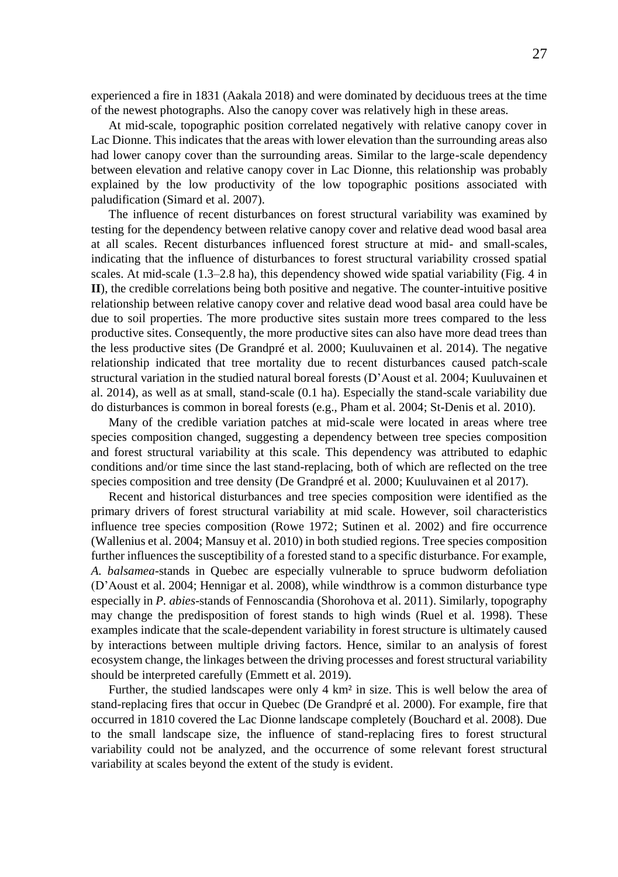experienced a fire in 1831 (Aakala 2018) and were dominated by deciduous trees at the time of the newest photographs. Also the canopy cover was relatively high in these areas.

At mid-scale, topographic position correlated negatively with relative canopy cover in Lac Dionne. This indicates that the areas with lower elevation than the surrounding areas also had lower canopy cover than the surrounding areas. Similar to the large-scale dependency between elevation and relative canopy cover in Lac Dionne, this relationship was probably explained by the low productivity of the low topographic positions associated with paludification (Simard et al. 2007).

The influence of recent disturbances on forest structural variability was examined by testing for the dependency between relative canopy cover and relative dead wood basal area at all scales. Recent disturbances influenced forest structure at mid- and small-scales, indicating that the influence of disturbances to forest structural variability crossed spatial scales. At mid-scale (1.3–2.8 ha), this dependency showed wide spatial variability (Fig. 4 in **II**), the credible correlations being both positive and negative. The counter-intuitive positive relationship between relative canopy cover and relative dead wood basal area could have be due to soil properties. The more productive sites sustain more trees compared to the less productive sites. Consequently, the more productive sites can also have more dead trees than the less productive sites (De Grandpré et al. 2000; Kuuluvainen et al. 2014). The negative relationship indicated that tree mortality due to recent disturbances caused patch-scale structural variation in the studied natural boreal forests (D'Aoust et al. 2004; Kuuluvainen et al. 2014), as well as at small, stand-scale (0.1 ha). Especially the stand-scale variability due do disturbances is common in boreal forests (e.g., Pham et al. 2004; St-Denis et al. 2010).

Many of the credible variation patches at mid-scale were located in areas where tree species composition changed, suggesting a dependency between tree species composition and forest structural variability at this scale. This dependency was attributed to edaphic conditions and/or time since the last stand-replacing, both of which are reflected on the tree species composition and tree density (De Grandpré et al. 2000; Kuuluvainen et al 2017).

Recent and historical disturbances and tree species composition were identified as the primary drivers of forest structural variability at mid scale. However, soil characteristics influence tree species composition (Rowe 1972; Sutinen et al. 2002) and fire occurrence (Wallenius et al. 2004; Mansuy et al. 2010) in both studied regions. Tree species composition further influences the susceptibility of a forested stand to a specific disturbance. For example, *A. balsamea*-stands in Quebec are especially vulnerable to spruce budworm defoliation (D'Aoust et al. 2004; Hennigar et al. 2008), while windthrow is a common disturbance type especially in *P. abies*-stands of Fennoscandia (Shorohova et al. 2011). Similarly, topography may change the predisposition of forest stands to high winds (Ruel et al. 1998). These examples indicate that the scale-dependent variability in forest structure is ultimately caused by interactions between multiple driving factors. Hence, similar to an analysis of forest ecosystem change, the linkages between the driving processes and forest structural variability should be interpreted carefully (Emmett et al. 2019).

Further, the studied landscapes were only 4 km² in size. This is well below the area of stand-replacing fires that occur in Quebec (De Grandpré et al. 2000). For example, fire that occurred in 1810 covered the Lac Dionne landscape completely (Bouchard et al. 2008). Due to the small landscape size, the influence of stand-replacing fires to forest structural variability could not be analyzed, and the occurrence of some relevant forest structural variability at scales beyond the extent of the study is evident.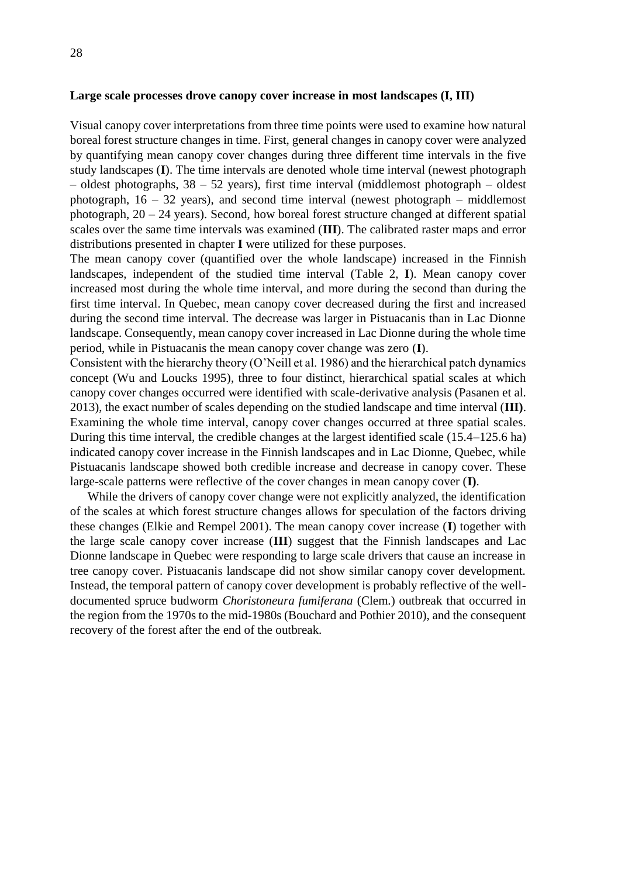### <span id="page-27-0"></span>**Large scale processes drove canopy cover increase in most landscapes (I, III)**

Visual canopy cover interpretations from three time points were used to examine how natural boreal forest structure changes in time. First, general changes in canopy cover were analyzed by quantifying mean canopy cover changes during three different time intervals in the five study landscapes (**I**). The time intervals are denoted whole time interval (newest photograph  $-$  oldest photographs,  $38 - 52$  years), first time interval (middlemost photograph  $-$  oldest photograph,  $16 - 32$  years), and second time interval (newest photograph – middlemost photograph, 20 – 24 years). Second, how boreal forest structure changed at different spatial scales over the same time intervals was examined (**III**). The calibrated raster maps and error distributions presented in chapter **I** were utilized for these purposes.

The mean canopy cover (quantified over the whole landscape) increased in the Finnish landscapes, independent of the studied time interval (Table 2, **I**). Mean canopy cover increased most during the whole time interval, and more during the second than during the first time interval. In Quebec, mean canopy cover decreased during the first and increased during the second time interval. The decrease was larger in Pistuacanis than in Lac Dionne landscape. Consequently, mean canopy cover increased in Lac Dionne during the whole time period, while in Pistuacanis the mean canopy cover change was zero (**I**).

Consistent with the hierarchy theory (O'Neill et al. 1986) and the hierarchical patch dynamics concept (Wu and Loucks 1995), three to four distinct, hierarchical spatial scales at which canopy cover changes occurred were identified with scale-derivative analysis (Pasanen et al. 2013), the exact number of scales depending on the studied landscape and time interval (**III)**. Examining the whole time interval, canopy cover changes occurred at three spatial scales. During this time interval, the credible changes at the largest identified scale (15.4–125.6 ha) indicated canopy cover increase in the Finnish landscapes and in Lac Dionne, Quebec, while Pistuacanis landscape showed both credible increase and decrease in canopy cover. These large-scale patterns were reflective of the cover changes in mean canopy cover (**I)**.

While the drivers of canopy cover change were not explicitly analyzed, the identification of the scales at which forest structure changes allows for speculation of the factors driving these changes (Elkie and Rempel 2001). The mean canopy cover increase (**I**) together with the large scale canopy cover increase (**III**) suggest that the Finnish landscapes and Lac Dionne landscape in Quebec were responding to large scale drivers that cause an increase in tree canopy cover. Pistuacanis landscape did not show similar canopy cover development. Instead, the temporal pattern of canopy cover development is probably reflective of the welldocumented spruce budworm *Choristoneura fumiferana* (Clem.) outbreak that occurred in the region from the 1970s to the mid-1980s (Bouchard and Pothier 2010), and the consequent recovery of the forest after the end of the outbreak.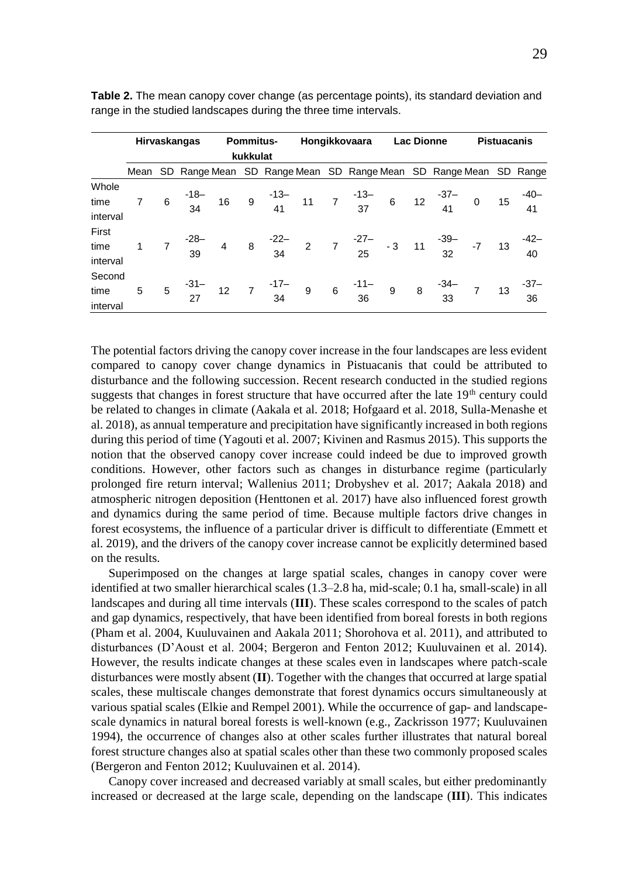|                            | Hirvaskangas |  |  | <b>Pommitus-</b><br>kukkulat |  |                                                                                                    | Hongikkovaara |  |  | <b>Lac Dionne</b> |  |  | <b>Pistuacanis</b> |  |  |
|----------------------------|--------------|--|--|------------------------------|--|----------------------------------------------------------------------------------------------------|---------------|--|--|-------------------|--|--|--------------------|--|--|
|                            |              |  |  |                              |  | Mean SD Range Mean SD Range Mean SD Range Mean SD Range Mean SD Range                              |               |  |  |                   |  |  |                    |  |  |
| Whole<br>time<br>interval  |              |  |  |                              |  | $6$ $-18$ $-16$ $9$ $-13$ $-11$ $7$ $-13$ $-6$ $12$ $-37$ $-0$ $15$ $-40$ $-15$ $-41$              |               |  |  |                   |  |  |                    |  |  |
| First<br>time<br>interval  |              |  |  |                              |  | $7 \t39$ 4 8 $\t32$ 7 $\t27$ -3 11 $\t39$ -7 13 $\t42$ -3 9                                        |               |  |  |                   |  |  |                    |  |  |
| Second<br>time<br>interval | 5            |  |  |                              |  | $5 -31 - 12$ 7 $-17 - 9$ 6 $-11 - 9$ 8 $-34 - 7$ 13 $-37 - 12$<br>27 12 7 34 9 6 36 9 8 33 7 13 36 |               |  |  |                   |  |  |                    |  |  |

**Table 2.** The mean canopy cover change (as percentage points), its standard deviation and range in the studied landscapes during the three time intervals.

The potential factors driving the canopy cover increase in the four landscapes are less evident compared to canopy cover change dynamics in Pistuacanis that could be attributed to disturbance and the following succession. Recent research conducted in the studied regions suggests that changes in forest structure that have occurred after the late  $19<sup>th</sup>$  century could be related to changes in climate (Aakala et al. 2018; Hofgaard et al. 2018, Sulla-Menashe et al. 2018), as annual temperature and precipitation have significantly increased in both regions during this period of time (Yagouti et al. 2007; Kivinen and Rasmus 2015). This supports the notion that the observed canopy cover increase could indeed be due to improved growth conditions. However, other factors such as changes in disturbance regime (particularly prolonged fire return interval; Wallenius 2011; Drobyshev et al. 2017; Aakala 2018) and atmospheric nitrogen deposition (Henttonen et al. 2017) have also influenced forest growth and dynamics during the same period of time. Because multiple factors drive changes in forest ecosystems, the influence of a particular driver is difficult to differentiate (Emmett et al. 2019), and the drivers of the canopy cover increase cannot be explicitly determined based on the results.

Superimposed on the changes at large spatial scales, changes in canopy cover were identified at two smaller hierarchical scales (1.3–2.8 ha, mid-scale; 0.1 ha, small-scale) in all landscapes and during all time intervals (**III**). These scales correspond to the scales of patch and gap dynamics, respectively, that have been identified from boreal forests in both regions (Pham et al. 2004, Kuuluvainen and Aakala 2011; Shorohova et al. 2011), and attributed to disturbances (D'Aoust et al. 2004; Bergeron and Fenton 2012; Kuuluvainen et al. 2014). However, the results indicate changes at these scales even in landscapes where patch-scale disturbances were mostly absent (**II**). Together with the changes that occurred at large spatial scales, these multiscale changes demonstrate that forest dynamics occurs simultaneously at various spatial scales (Elkie and Rempel 2001). While the occurrence of gap- and landscapescale dynamics in natural boreal forests is well-known (e.g., Zackrisson 1977; Kuuluvainen 1994), the occurrence of changes also at other scales further illustrates that natural boreal forest structure changes also at spatial scales other than these two commonly proposed scales (Bergeron and Fenton 2012; Kuuluvainen et al. 2014).

Canopy cover increased and decreased variably at small scales, but either predominantly increased or decreased at the large scale, depending on the landscape (**III**). This indicates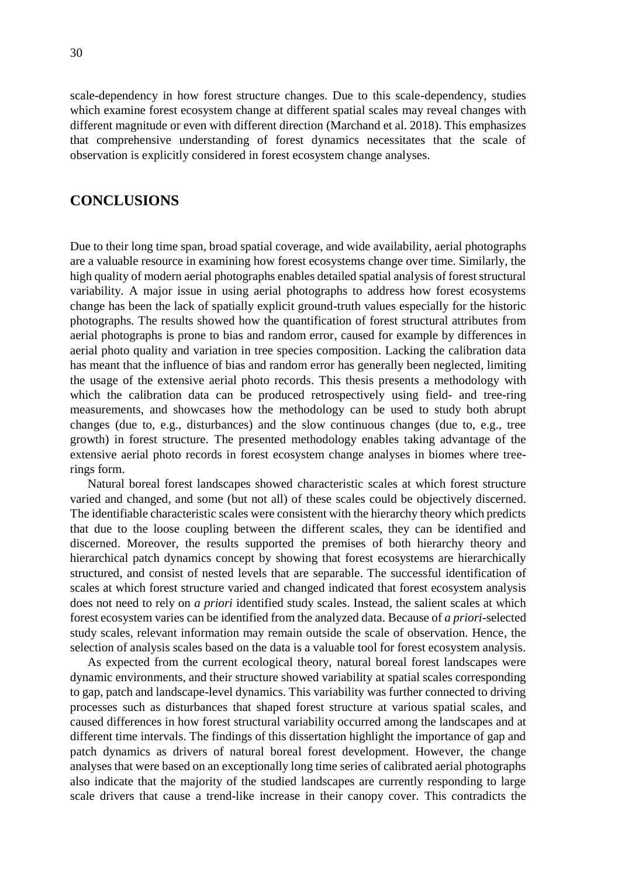scale-dependency in how forest structure changes. Due to this scale-dependency, studies which examine forest ecosystem change at different spatial scales may reveal changes with different magnitude or even with different direction (Marchand et al. 2018). This emphasizes that comprehensive understanding of forest dynamics necessitates that the scale of observation is explicitly considered in forest ecosystem change analyses.

### <span id="page-29-0"></span>**CONCLUSIONS**

Due to their long time span, broad spatial coverage, and wide availability, aerial photographs are a valuable resource in examining how forest ecosystems change over time. Similarly, the high quality of modern aerial photographs enables detailed spatial analysis of forest structural variability. A major issue in using aerial photographs to address how forest ecosystems change has been the lack of spatially explicit ground-truth values especially for the historic photographs. The results showed how the quantification of forest structural attributes from aerial photographs is prone to bias and random error, caused for example by differences in aerial photo quality and variation in tree species composition. Lacking the calibration data has meant that the influence of bias and random error has generally been neglected, limiting the usage of the extensive aerial photo records. This thesis presents a methodology with which the calibration data can be produced retrospectively using field- and tree-ring measurements, and showcases how the methodology can be used to study both abrupt changes (due to, e.g., disturbances) and the slow continuous changes (due to, e.g., tree growth) in forest structure. The presented methodology enables taking advantage of the extensive aerial photo records in forest ecosystem change analyses in biomes where treerings form.

Natural boreal forest landscapes showed characteristic scales at which forest structure varied and changed, and some (but not all) of these scales could be objectively discerned. The identifiable characteristic scales were consistent with the hierarchy theory which predicts that due to the loose coupling between the different scales, they can be identified and discerned. Moreover, the results supported the premises of both hierarchy theory and hierarchical patch dynamics concept by showing that forest ecosystems are hierarchically structured, and consist of nested levels that are separable. The successful identification of scales at which forest structure varied and changed indicated that forest ecosystem analysis does not need to rely on *a priori* identified study scales. Instead, the salient scales at which forest ecosystem varies can be identified from the analyzed data. Because of *a priori*-selected study scales, relevant information may remain outside the scale of observation. Hence, the selection of analysis scales based on the data is a valuable tool for forest ecosystem analysis.

As expected from the current ecological theory, natural boreal forest landscapes were dynamic environments, and their structure showed variability at spatial scales corresponding to gap, patch and landscape-level dynamics. This variability was further connected to driving processes such as disturbances that shaped forest structure at various spatial scales, and caused differences in how forest structural variability occurred among the landscapes and at different time intervals. The findings of this dissertation highlight the importance of gap and patch dynamics as drivers of natural boreal forest development. However, the change analyses that were based on an exceptionally long time series of calibrated aerial photographs also indicate that the majority of the studied landscapes are currently responding to large scale drivers that cause a trend-like increase in their canopy cover. This contradicts the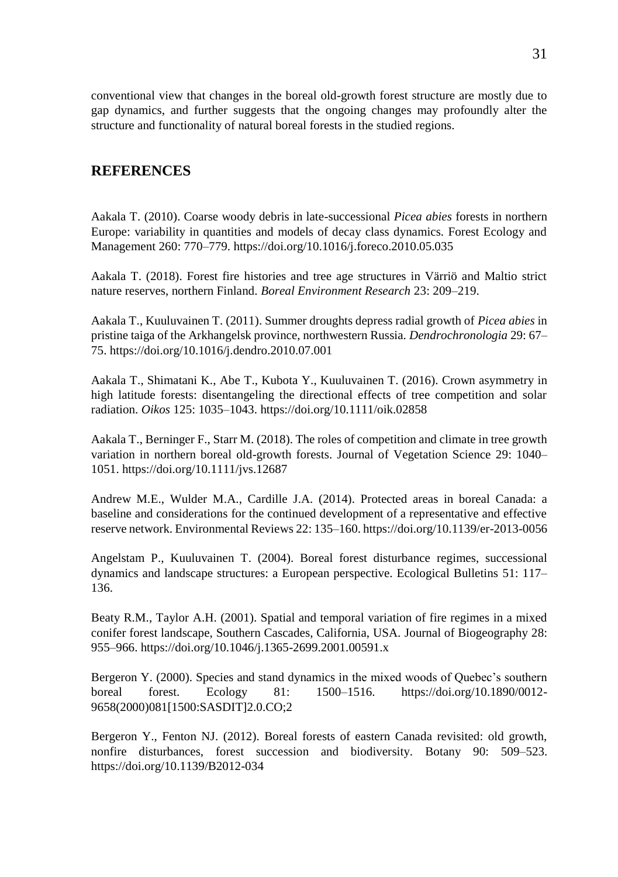conventional view that changes in the boreal old-growth forest structure are mostly due to gap dynamics, and further suggests that the ongoing changes may profoundly alter the structure and functionality of natural boreal forests in the studied regions.

### <span id="page-30-0"></span>**REFERENCES**

Aakala T. (2010). Coarse woody debris in late-successional *Picea abies* forests in northern Europe: variability in quantities and models of decay class dynamics. Forest Ecology and Management 260: 770–779. https://doi.org/10.1016/j.foreco.2010.05.035

Aakala T. (2018). Forest fire histories and tree age structures in Värriö and Maltio strict nature reserves, northern Finland. *Boreal Environment Research* 23: 209–219.

Aakala T., Kuuluvainen T. (2011). Summer droughts depress radial growth of *Picea abies* in pristine taiga of the Arkhangelsk province, northwestern Russia. *Dendrochronologia* 29: 67– 75. https://doi.org/10.1016/j.dendro.2010.07.001

Aakala T., Shimatani K., Abe T., Kubota Y., Kuuluvainen T. (2016). Crown asymmetry in high latitude forests: disentangeling the directional effects of tree competition and solar radiation. *Oikos* 125: 1035–1043. https://doi.org/10.1111/oik.02858

Aakala T., Berninger F., Starr M. (2018). The roles of competition and climate in tree growth variation in northern boreal old-growth forests. Journal of Vegetation Science 29: 1040– 1051. https://doi.org/10.1111/jvs.12687

Andrew M.E., Wulder M.A., Cardille J.A. (2014). Protected areas in boreal Canada: a baseline and considerations for the continued development of a representative and effective reserve network. Environmental Reviews 22: 135–160. https://doi.org/10.1139/er-2013-0056

Angelstam P., Kuuluvainen T. (2004). Boreal forest disturbance regimes, successional dynamics and landscape structures: a European perspective. Ecological Bulletins 51: 117– 136.

Beaty R.M., Taylor A.H. (2001). Spatial and temporal variation of fire regimes in a mixed conifer forest landscape, Southern Cascades, California, USA. Journal of Biogeography 28: 955–966. https://doi.org/10.1046/j.1365-2699.2001.00591.x

Bergeron Y. (2000). Species and stand dynamics in the mixed woods of Quebec's southern boreal forest. Ecology 81: 1500–1516. https://doi.org/10.1890/0012- 9658(2000)081[1500:SASDIT]2.0.CO;2

Bergeron Y., Fenton NJ. (2012). Boreal forests of eastern Canada revisited: old growth, nonfire disturbances, forest succession and biodiversity. Botany 90: 509–523. https://doi.org/10.1139/B2012-034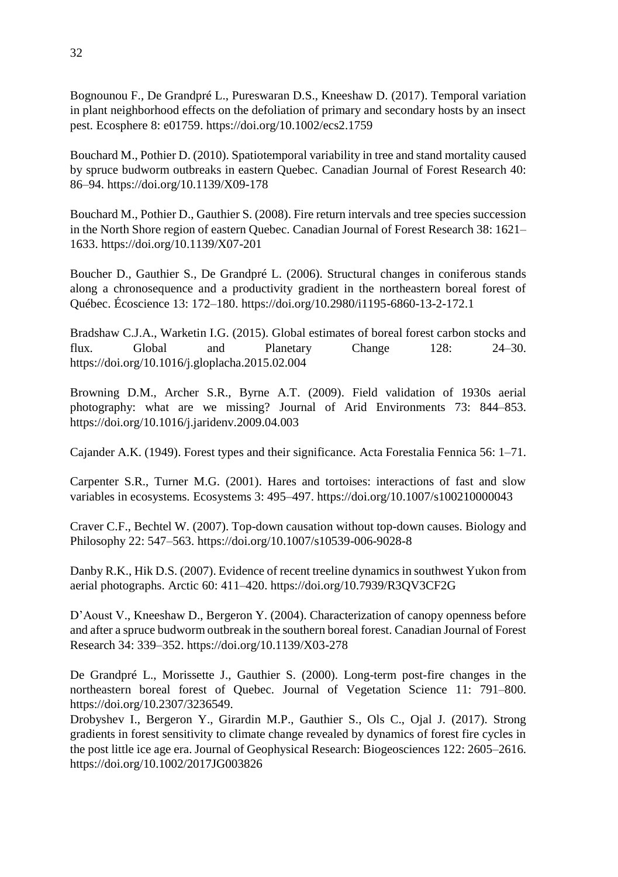Bognounou F., De Grandpré L., Pureswaran D.S., Kneeshaw D. (2017). Temporal variation in plant neighborhood effects on the defoliation of primary and secondary hosts by an insect pest. Ecosphere 8: e01759. https://doi.org/10.1002/ecs2.1759

Bouchard M., Pothier D. (2010). Spatiotemporal variability in tree and stand mortality caused by spruce budworm outbreaks in eastern Quebec. Canadian Journal of Forest Research 40: 86–94. https://doi.org/10.1139/X09-178

Bouchard M., Pothier D., Gauthier S. (2008). Fire return intervals and tree species succession in the North Shore region of eastern Quebec. Canadian Journal of Forest Research 38: 1621– 1633. https://doi.org/10.1139/X07-201

Boucher D., Gauthier S., De Grandpré L. (2006). Structural changes in coniferous stands along a chronosequence and a productivity gradient in the northeastern boreal forest of Québec. Écoscience 13: 172–180. https://doi.org/10.2980/i1195-6860-13-2-172.1

Bradshaw C.J.A., Warketin I.G. (2015). Global estimates of boreal forest carbon stocks and flux. Global and Planetary Change 128: 24–30. https://doi.org/10.1016/j.gloplacha.2015.02.004

Browning D.M., Archer S.R., Byrne A.T. (2009). Field validation of 1930s aerial photography: what are we missing? Journal of Arid Environments 73: 844–853. https://doi.org/10.1016/j.jaridenv.2009.04.003

Cajander A.K. (1949). Forest types and their significance. Acta Forestalia Fennica 56: 1–71.

Carpenter S.R., Turner M.G. (2001). Hares and tortoises: interactions of fast and slow variables in ecosystems. Ecosystems 3: 495–497. https://doi.org/10.1007/s100210000043

Craver C.F., Bechtel W. (2007). Top-down causation without top-down causes. Biology and Philosophy 22: 547–563. https://doi.org/10.1007/s10539-006-9028-8

Danby R.K., Hik D.S. (2007). Evidence of recent treeline dynamics in southwest Yukon from aerial photographs. Arctic 60: 411–420. https://doi.org/10.7939/R3QV3CF2G

D'Aoust V., Kneeshaw D., Bergeron Y. (2004). Characterization of canopy openness before and after a spruce budworm outbreak in the southern boreal forest. Canadian Journal of Forest Research 34: 339–352. https://doi.org/10.1139/X03-278

De Grandpré L., Morissette J., Gauthier S. (2000). Long-term post-fire changes in the northeastern boreal forest of Quebec. Journal of Vegetation Science 11: 791–800. https://doi.org/10.2307/3236549.

Drobyshev I., Bergeron Y., Girardin M.P., Gauthier S., Ols C., Ojal J. (2017). Strong gradients in forest sensitivity to climate change revealed by dynamics of forest fire cycles in the post little ice age era. Journal of Geophysical Research: Biogeosciences 122: 2605–2616. https://doi.org/10.1002/2017JG003826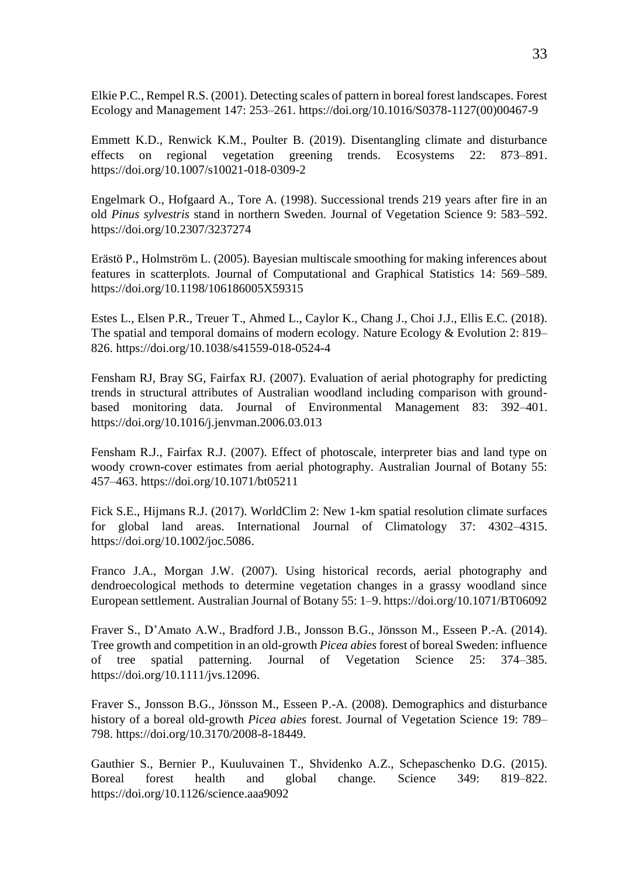Elkie P.C., Rempel R.S. (2001). Detecting scales of pattern in boreal forest landscapes. Forest Ecology and Management 147: 253–261. https://doi.org/10.1016/S0378-1127(00)00467-9

Emmett K.D., Renwick K.M., Poulter B. (2019). Disentangling climate and disturbance effects on regional vegetation greening trends. Ecosystems 22: 873–891. https://doi.org/10.1007/s10021-018-0309-2

Engelmark O., Hofgaard A., Tore A. (1998). Successional trends 219 years after fire in an old *Pinus sylvestris* stand in northern Sweden. Journal of Vegetation Science 9: 583–592. https://doi.org/10.2307/3237274

Erästö P., Holmström L. (2005). Bayesian multiscale smoothing for making inferences about features in scatterplots. Journal of Computational and Graphical Statistics 14: 569–589. https://doi.org/10.1198/106186005X59315

Estes L., Elsen P.R., Treuer T., Ahmed L., Caylor K., Chang J., Choi J.J., Ellis E.C. (2018). The spatial and temporal domains of modern ecology. Nature Ecology & Evolution 2: 819– 826. https://doi.org/10.1038/s41559-018-0524-4

Fensham RJ, Bray SG, Fairfax RJ. (2007). Evaluation of aerial photography for predicting trends in structural attributes of Australian woodland including comparison with groundbased monitoring data. Journal of Environmental Management 83: 392–401. https://doi.org/10.1016/j.jenvman.2006.03.013

Fensham R.J., Fairfax R.J. (2007). Effect of photoscale, interpreter bias and land type on woody crown-cover estimates from aerial photography. Australian Journal of Botany 55: 457–463. https://doi.org/10.1071/bt05211

Fick S.E., Hijmans R.J. (2017). WorldClim 2: New 1-km spatial resolution climate surfaces for global land areas. International Journal of Climatology 37: 4302–4315. https://doi.org/10.1002/joc.5086.

Franco J.A., Morgan J.W. (2007). Using historical records, aerial photography and dendroecological methods to determine vegetation changes in a grassy woodland since European settlement. Australian Journal of Botany 55: 1–9. https://doi.org/10.1071/BT06092

Fraver S., D'Amato A.W., Bradford J.B., Jonsson B.G., Jönsson M., Esseen P.-A. (2014). Tree growth and competition in an old-growth *Picea abies* forest of boreal Sweden: influence of tree spatial patterning. Journal of Vegetation Science 25: 374–385. https://doi.org/10.1111/jvs.12096.

Fraver S., Jonsson B.G., Jönsson M., Esseen P.-A. (2008). Demographics and disturbance history of a boreal old-growth *Picea abies* forest. Journal of Vegetation Science 19: 789– 798. https://doi.org/10.3170/2008-8-18449.

Gauthier S., Bernier P., Kuuluvainen T., Shvidenko A.Z., Schepaschenko D.G. (2015). Boreal forest health and global change. Science 349: 819–822. https://doi.org/10.1126/science.aaa9092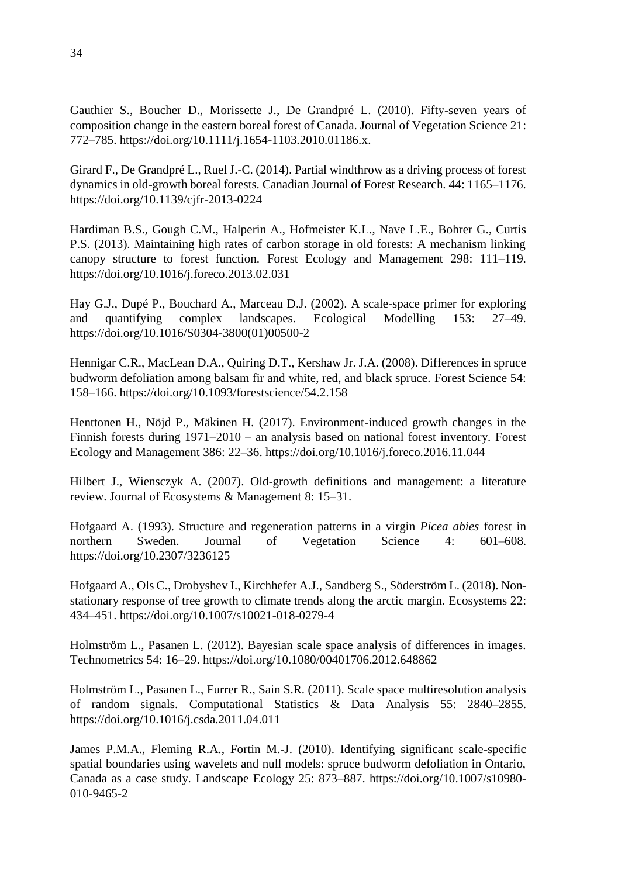Gauthier S., Boucher D., Morissette J., De Grandpré L. (2010). Fifty-seven years of composition change in the eastern boreal forest of Canada. Journal of Vegetation Science 21: 772–785. https://doi.org/10.1111/j.1654-1103.2010.01186.x.

Girard F., De Grandpré L., Ruel J.-C. (2014). Partial windthrow as a driving process of forest dynamics in old-growth boreal forests. Canadian Journal of Forest Research*.* 44: 1165–1176. https://doi.org/10.1139/cjfr-2013-0224

Hardiman B.S., Gough C.M., Halperin A., Hofmeister K.L., Nave L.E., Bohrer G., Curtis P.S. (2013). Maintaining high rates of carbon storage in old forests: A mechanism linking canopy structure to forest function. Forest Ecology and Management 298: 111–119. https://doi.org/10.1016/j.foreco.2013.02.031

Hay G.J., Dupé P., Bouchard A., Marceau D.J. (2002). A scale-space primer for exploring and quantifying complex landscapes. Ecological Modelling 153: 27–49. https://doi.org/10.1016/S0304-3800(01)00500-2

Hennigar C.R., MacLean D.A., Quiring D.T., Kershaw Jr. J.A. (2008). Differences in spruce budworm defoliation among balsam fir and white, red, and black spruce. Forest Science 54: 158–166. https://doi.org/10.1093/forestscience/54.2.158

Henttonen H., Nöjd P., Mäkinen H. (2017). Environment-induced growth changes in the Finnish forests during 1971–2010 – an analysis based on national forest inventory. Forest Ecology and Management 386: 22–36. https://doi.org/10.1016/j.foreco.2016.11.044

Hilbert J., Wiensczyk A. (2007). Old-growth definitions and management: a literature review. Journal of Ecosystems & Management 8: 15–31.

Hofgaard A. (1993). Structure and regeneration patterns in a virgin *Picea abies* forest in northern Sweden. Journal of Vegetation Science 4: 601–608. <https://doi.org/10.2307/3236125>

Hofgaard A., Ols C., Drobyshev I., Kirchhefer A.J., Sandberg S., Söderström L. (2018). Nonstationary response of tree growth to climate trends along the arctic margin. Ecosystems 22: 434–451. https://doi.org/10.1007/s10021-018-0279-4

Holmström L., Pasanen L. (2012). Bayesian scale space analysis of differences in images. Technometrics 54: 16–29. https://doi.org/10.1080/00401706.2012.648862

Holmström L., Pasanen L., Furrer R., Sain S.R. (2011). Scale space multiresolution analysis of random signals. Computational Statistics & Data Analysis 55: 2840–2855. https://doi.org/10.1016/j.csda.2011.04.011

James P.M.A., Fleming R.A., Fortin M.-J. (2010). Identifying significant scale-specific spatial boundaries using wavelets and null models: spruce budworm defoliation in Ontario, Canada as a case study. Landscape Ecology 25: 873–887. https://doi.org/10.1007/s10980- 010-9465-2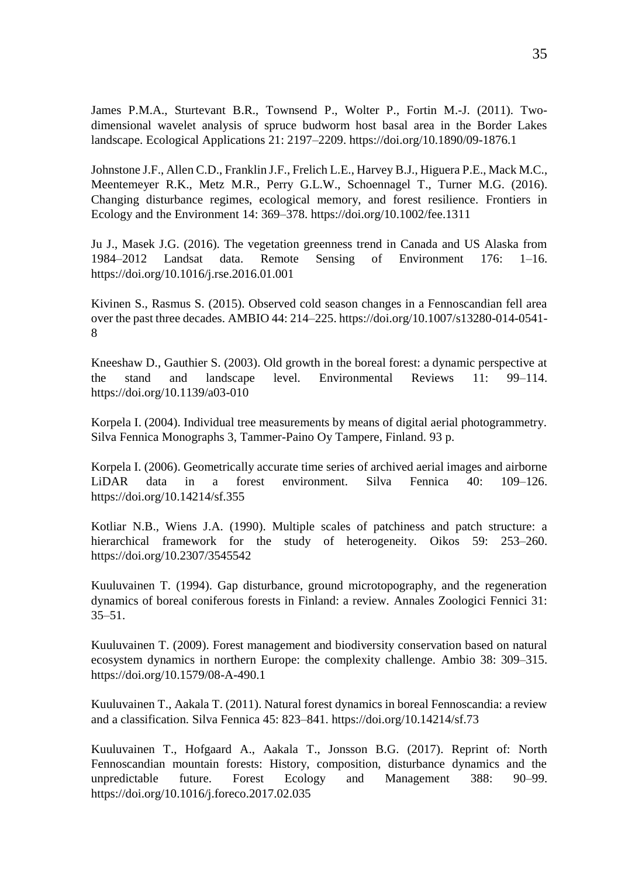James P.M.A., Sturtevant B.R., Townsend P., Wolter P., Fortin M.-J. (2011). Twodimensional wavelet analysis of spruce budworm host basal area in the Border Lakes landscape. Ecological Applications 21: 2197–2209. https:/[/doi.org/10.1890/09-1876.1](https://doi.org/10.1890/09-1876.1)

Johnstone J.F., Allen C.D., Franklin J.F., Frelich L.E., Harvey B.J., Higuera P.E., Mack M.C., Meentemeyer R.K., Metz M.R., Perry G.L.W., Schoennagel T., Turner M.G. (2016). Changing disturbance regimes, ecological memory, and forest resilience. Frontiers in Ecology and the Environment 14: 369–378.<https://doi.org/10.1002/fee.1311>

Ju J., Masek J.G. (2016). The vegetation greenness trend in Canada and US Alaska from 1984–2012 Landsat data. Remote Sensing of Environment 176: 1–16. https://doi.org/10.1016/j.rse.2016.01.001

Kivinen S., Rasmus S. (2015). Observed cold season changes in a Fennoscandian fell area over the past three decades. AMBIO 44: 214–225. https://doi.org/10.1007/s13280-014-0541- 8

Kneeshaw D., Gauthier S. (2003). Old growth in the boreal forest: a dynamic perspective at the stand and landscape level. Environmental Reviews 11: 99–114. https://doi.org/10.1139/a03-010

Korpela I. (2004). Individual tree measurements by means of digital aerial photogrammetry. Silva Fennica Monographs 3, Tammer-Paino Oy Tampere, Finland. 93 p.

Korpela I. (2006). Geometrically accurate time series of archived aerial images and airborne LiDAR data in a forest environment. Silva Fennica 40: 109–126. https://doi.org/10.14214/sf.355

Kotliar N.B., Wiens J.A. (1990). Multiple scales of patchiness and patch structure: a hierarchical framework for the study of heterogeneity. Oikos 59: 253–260. https://doi.org/10.2307/3545542

Kuuluvainen T. (1994). Gap disturbance, ground microtopography, and the regeneration dynamics of boreal coniferous forests in Finland: a review. Annales Zoologici Fennici 31: 35–51.

Kuuluvainen T. (2009). Forest management and biodiversity conservation based on natural ecosystem dynamics in northern Europe: the complexity challenge. Ambio 38: 309–315. https://doi.org/10.1579/08-A-490.1

Kuuluvainen T., Aakala T. (2011). Natural forest dynamics in boreal Fennoscandia: a review and a classification. Silva Fennica 45: 823–841. https://doi.org/10.14214/sf.73

Kuuluvainen T., Hofgaard A., Aakala T., Jonsson B.G. (2017). Reprint of: North Fennoscandian mountain forests: History, composition, disturbance dynamics and the unpredictable future. Forest Ecology and Management 388: 90–99. https://doi.org/10.1016/j.foreco.2017.02.035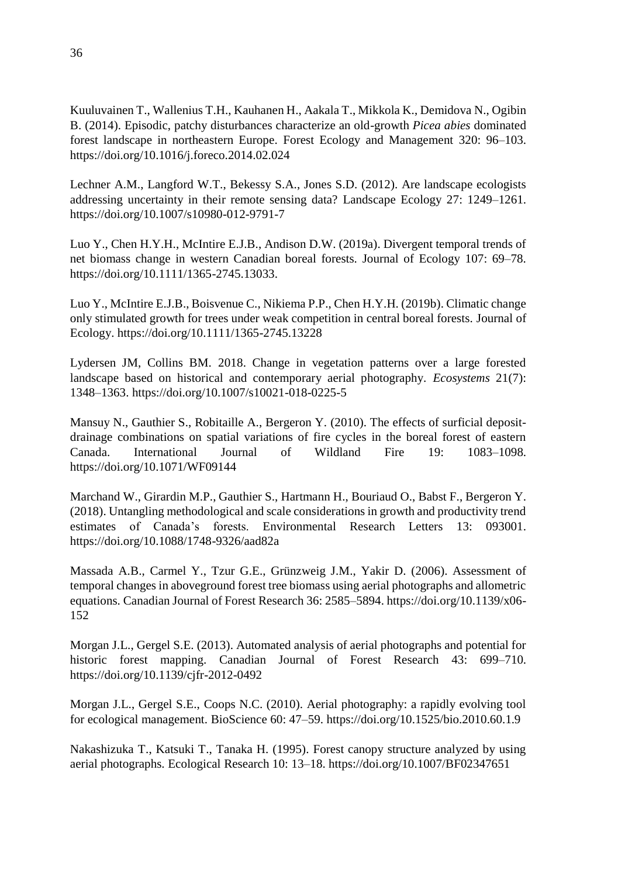Kuuluvainen T., Wallenius T.H., Kauhanen H., Aakala T., Mikkola K., Demidova N., Ogibin B. (2014). Episodic, patchy disturbances characterize an old-growth *Picea abies* dominated forest landscape in northeastern Europe. Forest Ecology and Management 320: 96–103. https://doi.org/10.1016/j.foreco.2014.02.024

Lechner A.M., Langford W.T., Bekessy S.A., Jones S.D. (2012). Are landscape ecologists addressing uncertainty in their remote sensing data? Landscape Ecology 27: 1249–1261. https://doi.org/10.1007/s10980-012-9791-7

Luo Y., Chen H.Y.H., McIntire E.J.B., Andison D.W. (2019a). Divergent temporal trends of net biomass change in western Canadian boreal forests. Journal of Ecology 107: 69–78. https://doi.org/10.1111/1365-2745.13033.

Luo Y., McIntire E.J.B., Boisvenue C., Nikiema P.P., Chen H.Y.H. (2019b). Climatic change only stimulated growth for trees under weak competition in central boreal forests. Journal of Ecology. https://doi.org/10.1111/1365-2745.13228

Lydersen JM, Collins BM. 2018. Change in vegetation patterns over a large forested landscape based on historical and contemporary aerial photography. *Ecosystems* 21(7): 1348–1363. https://doi.org/10.1007/s10021-018-0225-5

Mansuy N., Gauthier S., Robitaille A., Bergeron Y. (2010). The effects of surficial depositdrainage combinations on spatial variations of fire cycles in the boreal forest of eastern Canada. International Journal of Wildland Fire 19: 1083–1098. https://doi.org/10.1071/WF09144

Marchand W., Girardin M.P., Gauthier S., Hartmann H., Bouriaud O., Babst F., Bergeron Y. (2018). Untangling methodological and scale considerations in growth and productivity trend estimates of Canada's forests. Environmental Research Letters 13: 093001. https://doi.org/10.1088/1748-9326/aad82a

Massada A.B., Carmel Y., Tzur G.E., Grünzweig J.M., Yakir D. (2006). Assessment of temporal changes in aboveground forest tree biomass using aerial photographs and allometric equations. Canadian Journal of Forest Research 36: 2585–5894. https://doi.org/10.1139/x06- 152

Morgan J.L., Gergel S.E. (2013). Automated analysis of aerial photographs and potential for historic forest mapping. Canadian Journal of Forest Research 43: 699–710. https://doi.org/10.1139/cjfr-2012-0492

Morgan J.L., Gergel S.E., Coops N.C. (2010). Aerial photography: a rapidly evolving tool for ecological management. BioScience 60: 47–59. https://doi.org/10.1525/bio.2010.60.1.9

Nakashizuka T., Katsuki T., Tanaka H. (1995). Forest canopy structure analyzed by using aerial photographs. Ecological Research 10: 13–18. https://doi.org/10.1007/BF02347651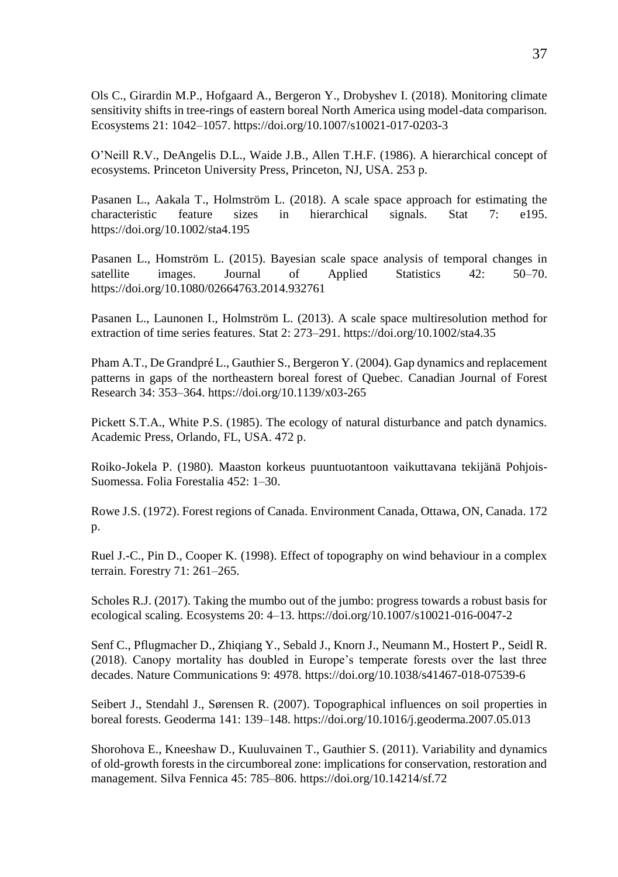Ols C., Girardin M.P., Hofgaard A., Bergeron Y., Drobyshev I. (2018). Monitoring climate sensitivity shifts in tree-rings of eastern boreal North America using model-data comparison. Ecosystems 21: 1042–1057. https://doi.org/10.1007/s10021-017-0203-3

O'Neill R.V., DeAngelis D.L., Waide J.B., Allen T.H.F. (1986). A hierarchical concept of ecosystems. Princeton University Press, Princeton, NJ, USA. 253 p.

Pasanen L., Aakala T., Holmström L. (2018). A scale space approach for estimating the characteristic feature sizes in hierarchical signals. Stat 7: e195. <https://doi.org/10.1002/sta4.195>

Pasanen L., Homström L. (2015). Bayesian scale space analysis of temporal changes in satellite images. Journal of Applied Statistics 42: 50–70. https://doi.org/10.1080/02664763.2014.932761

Pasanen L., Launonen I., Holmström L. (2013). A scale space multiresolution method for extraction of time series features. Stat 2: 273–291. https://doi.org/10.1002/sta4.35

Pham A.T., De Grandpré L., Gauthier S., Bergeron Y. (2004). Gap dynamics and replacement patterns in gaps of the northeastern boreal forest of Quebec. Canadian Journal of Forest Research 34: 353–364. https://doi.org/10.1139/x03-265

Pickett S.T.A., White P.S. (1985). The ecology of natural disturbance and patch dynamics. Academic Press*,* Orlando, FL, USA. 472 p.

Roiko-Jokela P. (1980). Maaston korkeus puuntuotantoon vaikuttavana tekijänä Pohjois-Suomessa. Folia Forestalia 452: 1–30.

Rowe J.S. (1972). Forest regions of Canada. Environment Canada, Ottawa, ON, Canada. 172 p.

Ruel J.-C., Pin D., Cooper K. (1998). Effect of topography on wind behaviour in a complex terrain. Forestry 71: 261–265.

Scholes R.J. (2017). Taking the mumbo out of the jumbo: progress towards a robust basis for ecological scaling. Ecosystems 20: 4–13. https://doi.org/10.1007/s10021-016-0047-2

Senf C., Pflugmacher D., Zhiqiang Y., Sebald J., Knorn J., Neumann M., Hostert P., Seidl R. (2018). Canopy mortality has doubled in Europe's temperate forests over the last three decades. Nature Communications 9: 4978. https://doi.org/10.1038/s41467-018-07539-6

Seibert J., Stendahl J., Sørensen R. (2007). Topographical influences on soil properties in boreal forests. Geoderma 141: 139–148. https://doi.org/10.1016/j.geoderma.2007.05.013

Shorohova E., Kneeshaw D., Kuuluvainen T., Gauthier S. (2011). Variability and dynamics of old-growth forests in the circumboreal zone: implications for conservation, restoration and management. Silva Fennica 45: 785–806. https://doi.org/10.14214/sf.72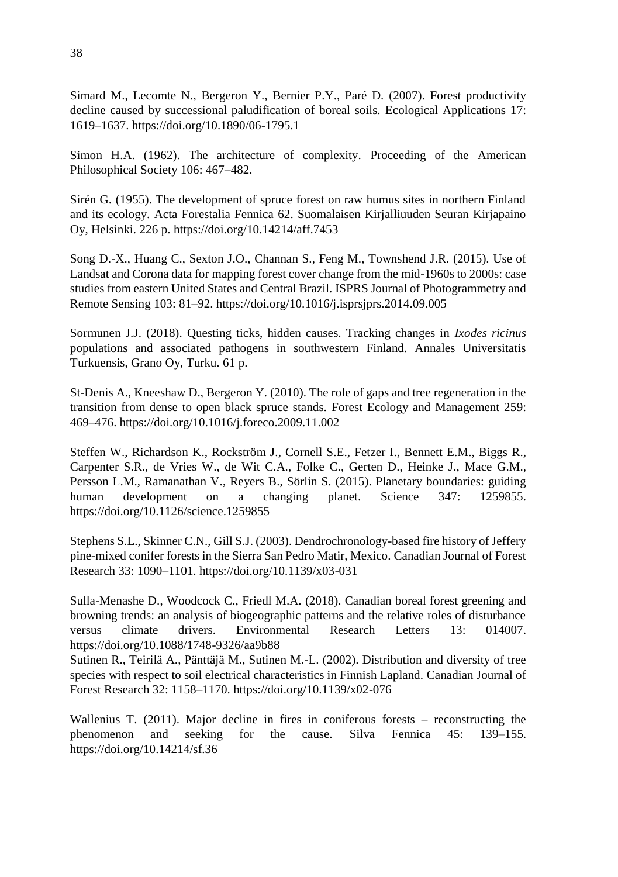Simard M., Lecomte N., Bergeron Y., Bernier P.Y., Paré D. (2007). Forest productivity decline caused by successional paludification of boreal soils. Ecological Applications 17: 1619–1637. https://doi.org/10.1890/06-1795.1

Simon H.A. (1962). The architecture of complexity. Proceeding of the American Philosophical Society 106: 467–482.

Sirén G. (1955). The development of spruce forest on raw humus sites in northern Finland and its ecology. Acta Forestalia Fennica 62. Suomalaisen Kirjalliuuden Seuran Kirjapaino Oy, Helsinki. 226 p. https://doi.org/10.14214/aff.7453

Song D.-X., Huang C., Sexton J.O., Channan S., Feng M., Townshend J.R. (2015). Use of Landsat and Corona data for mapping forest cover change from the mid-1960s to 2000s: case studies from eastern United States and Central Brazil. ISPRS Journal of Photogrammetry and Remote Sensing 103: 81–92. https://doi.org/10.1016/j.isprsjprs.2014.09.005

Sormunen J.J. (2018). Questing ticks, hidden causes. Tracking changes in *Ixodes ricinus*  populations and associated pathogens in southwestern Finland. Annales Universitatis Turkuensis, Grano Oy, Turku. 61 p.

St-Denis A., Kneeshaw D., Bergeron Y. (2010). The role of gaps and tree regeneration in the transition from dense to open black spruce stands. Forest Ecology and Management 259: 469–476. https://doi.org/10.1016/j.foreco.2009.11.002

Steffen W., Richardson K., Rockström J., Cornell S.E., Fetzer I., Bennett E.M., Biggs R., Carpenter S.R., de Vries W., de Wit C.A., Folke C., Gerten D., Heinke J., Mace G.M., Persson L.M., Ramanathan V., Reyers B., Sörlin S. (2015). Planetary boundaries: guiding human development on a changing planet. Science 347: 1259855. https://doi.org/10.1126/science.1259855

Stephens S.L., Skinner C.N., Gill S.J. (2003). Dendrochronology-based fire history of Jeffery pine-mixed conifer forests in the Sierra San Pedro Matir, Mexico. Canadian Journal of Forest Research 33: 1090–1101. https://doi.org/10.1139/x03-031

Sulla-Menashe D., Woodcock C., Friedl M.A. (2018). Canadian boreal forest greening and browning trends: an analysis of biogeographic patterns and the relative roles of disturbance versus climate drivers. Environmental Research Letters 13: 014007. https://doi.org/10.1088/1748-9326/aa9b88

Sutinen R., Teirilä A., Pänttäjä M., Sutinen M.-L. (2002). Distribution and diversity of tree species with respect to soil electrical characteristics in Finnish Lapland. Canadian Journal of Forest Research 32: 1158–1170. https://doi.org/10.1139/x02-076

Wallenius T. (2011). Major decline in fires in coniferous forests – reconstructing the phenomenon and seeking for the cause. Silva Fennica 45: 139–155. https://doi.org/10.14214/sf.36